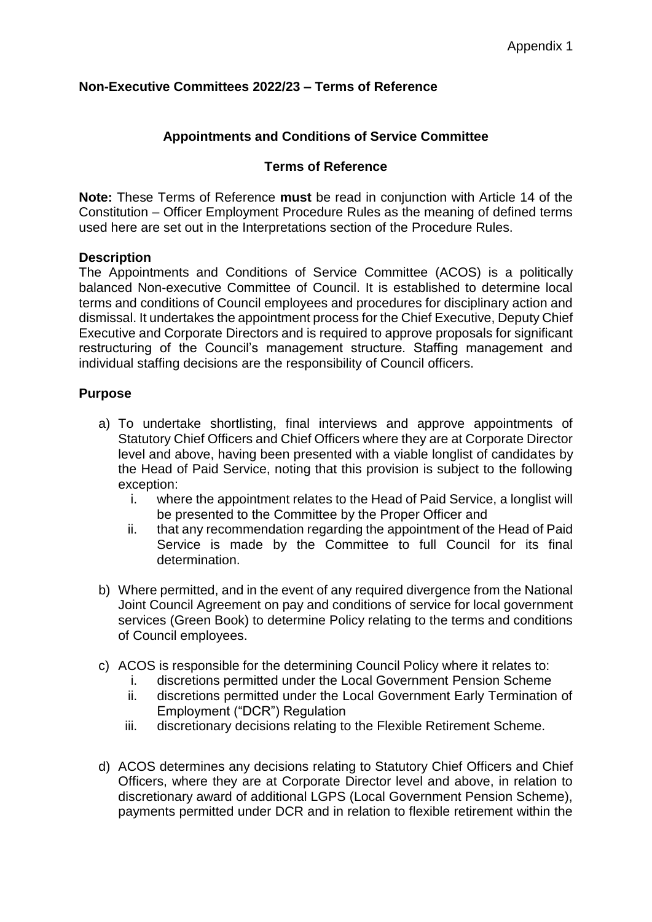## **Non-Executive Committees 2022/23 – Terms of Reference**

## **Appointments and Conditions of Service Committee**

## **Terms of Reference**

**Note:** These Terms of Reference **must** be read in conjunction with Article 14 of the Constitution – Officer Employment Procedure Rules as the meaning of defined terms used here are set out in the Interpretations section of the Procedure Rules.

## **Description**

The Appointments and Conditions of Service Committee (ACOS) is a politically balanced Non-executive Committee of Council. It is established to determine local terms and conditions of Council employees and procedures for disciplinary action and dismissal. It undertakes the appointment process for the Chief Executive, Deputy Chief Executive and Corporate Directors and is required to approve proposals for significant restructuring of the Council's management structure. Staffing management and individual staffing decisions are the responsibility of Council officers.

## **Purpose**

- a) To undertake shortlisting, final interviews and approve appointments of Statutory Chief Officers and Chief Officers where they are at Corporate Director level and above, having been presented with a viable longlist of candidates by the Head of Paid Service, noting that this provision is subject to the following exception:
	- i. where the appointment relates to the Head of Paid Service, a longlist will be presented to the Committee by the Proper Officer and
	- ii. that any recommendation regarding the appointment of the Head of Paid Service is made by the Committee to full Council for its final determination.
- b) Where permitted, and in the event of any required divergence from the National Joint Council Agreement on pay and conditions of service for local government services (Green Book) to determine Policy relating to the terms and conditions of Council employees.
- c) ACOS is responsible for the determining Council Policy where it relates to:
	- i. discretions permitted under the Local Government Pension Scheme
	- ii. discretions permitted under the Local Government Early Termination of Employment ("DCR") Regulation
	- iii. discretionary decisions relating to the Flexible Retirement Scheme.
- d) ACOS determines any decisions relating to Statutory Chief Officers and Chief Officers, where they are at Corporate Director level and above, in relation to discretionary award of additional LGPS (Local Government Pension Scheme), payments permitted under DCR and in relation to flexible retirement within the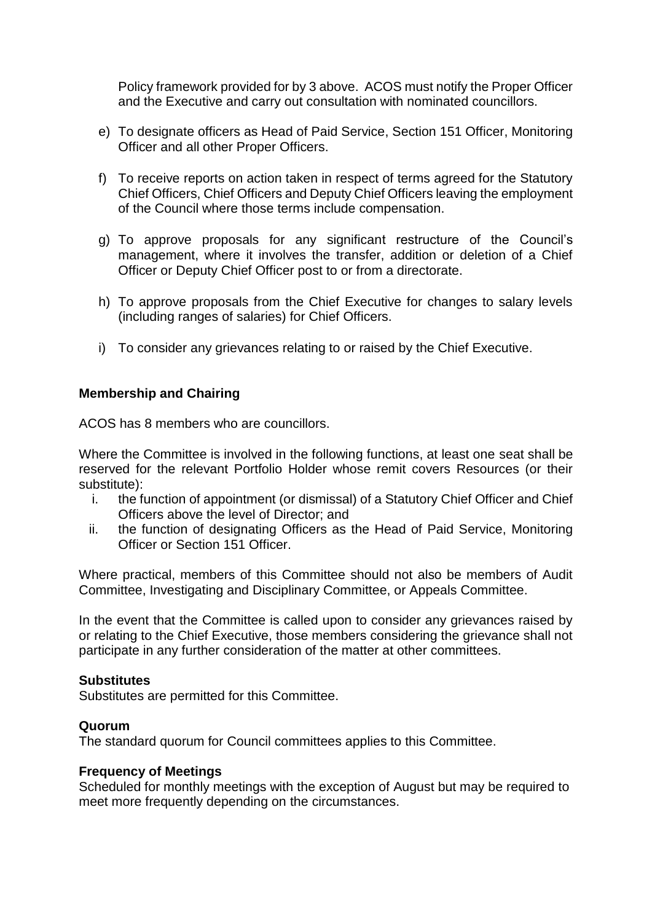Policy framework provided for by 3 above. ACOS must notify the Proper Officer and the Executive and carry out consultation with nominated councillors.

- e) To designate officers as Head of Paid Service, Section 151 Officer, Monitoring Officer and all other Proper Officers.
- f) To receive reports on action taken in respect of terms agreed for the Statutory Chief Officers, Chief Officers and Deputy Chief Officers leaving the employment of the Council where those terms include compensation.
- g) To approve proposals for any significant restructure of the Council's management, where it involves the transfer, addition or deletion of a Chief Officer or Deputy Chief Officer post to or from a directorate.
- h) To approve proposals from the Chief Executive for changes to salary levels (including ranges of salaries) for Chief Officers.
- i) To consider any grievances relating to or raised by the Chief Executive.

## **Membership and Chairing**

ACOS has 8 members who are councillors.

Where the Committee is involved in the following functions, at least one seat shall be reserved for the relevant Portfolio Holder whose remit covers Resources (or their substitute):

- i. the function of appointment (or dismissal) of a Statutory Chief Officer and Chief Officers above the level of Director; and
- ii. the function of designating Officers as the Head of Paid Service, Monitoring Officer or Section 151 Officer.

Where practical, members of this Committee should not also be members of Audit Committee, Investigating and Disciplinary Committee, or Appeals Committee.

In the event that the Committee is called upon to consider any grievances raised by or relating to the Chief Executive, those members considering the grievance shall not participate in any further consideration of the matter at other committees.

#### **Substitutes**

Substitutes are permitted for this Committee.

#### **Quorum**

The standard quorum for Council committees applies to this Committee.

#### **Frequency of Meetings**

Scheduled for monthly meetings with the exception of August but may be required to meet more frequently depending on the circumstances.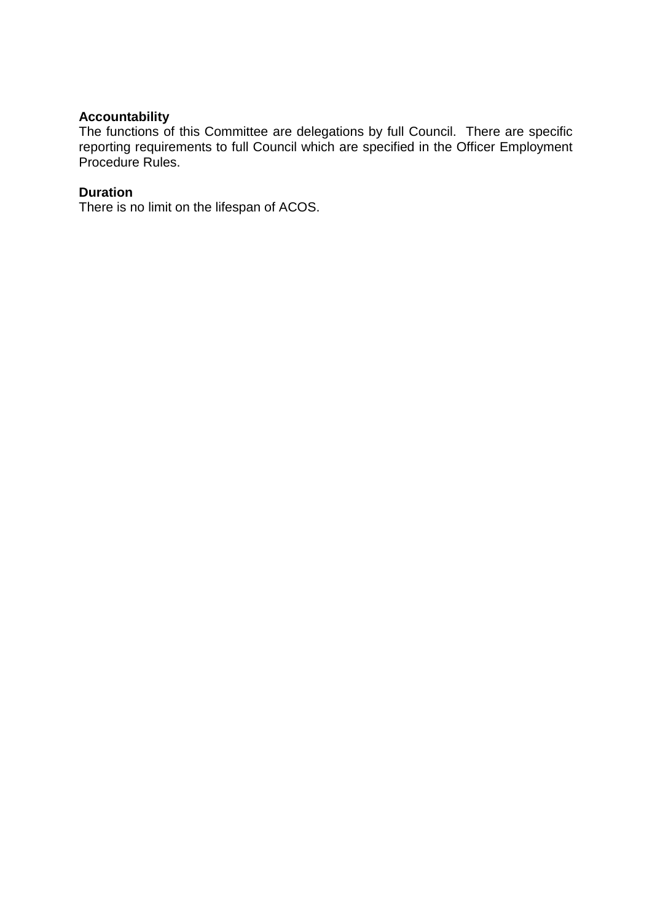# **Accountability**

The functions of this Committee are delegations by full Council. There are specific reporting requirements to full Council which are specified in the Officer Employment Procedure Rules.

### **Duration**

There is no limit on the lifespan of ACOS.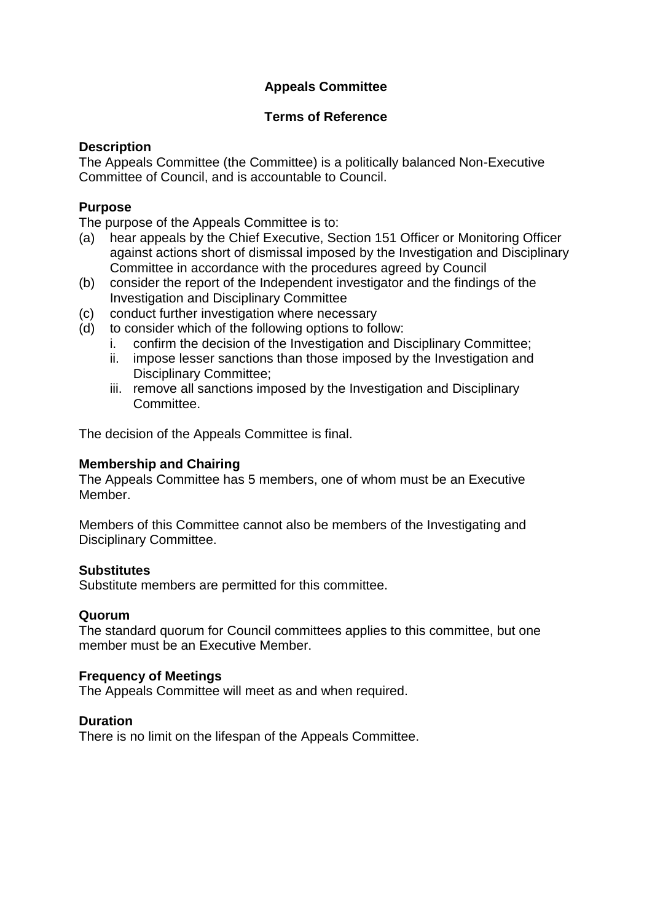# **Appeals Committee**

## **Terms of Reference**

# **Description**

The Appeals Committee (the Committee) is a politically balanced Non-Executive Committee of Council, and is accountable to Council.

## **Purpose**

The purpose of the Appeals Committee is to:

- (a) hear appeals by the Chief Executive, Section 151 Officer or Monitoring Officer against actions short of dismissal imposed by the Investigation and Disciplinary Committee in accordance with the procedures agreed by Council
- (b) consider the report of the Independent investigator and the findings of the Investigation and Disciplinary Committee
- (c) conduct further investigation where necessary
- (d) to consider which of the following options to follow:
	- i. confirm the decision of the Investigation and Disciplinary Committee;
	- ii. impose lesser sanctions than those imposed by the Investigation and Disciplinary Committee;
	- iii. remove all sanctions imposed by the Investigation and Disciplinary Committee.

The decision of the Appeals Committee is final.

## **Membership and Chairing**

The Appeals Committee has 5 members, one of whom must be an Executive Member.

Members of this Committee cannot also be members of the Investigating and Disciplinary Committee.

## **Substitutes**

Substitute members are permitted for this committee.

## **Quorum**

The standard quorum for Council committees applies to this committee, but one member must be an Executive Member.

## **Frequency of Meetings**

The Appeals Committee will meet as and when required.

## **Duration**

There is no limit on the lifespan of the Appeals Committee.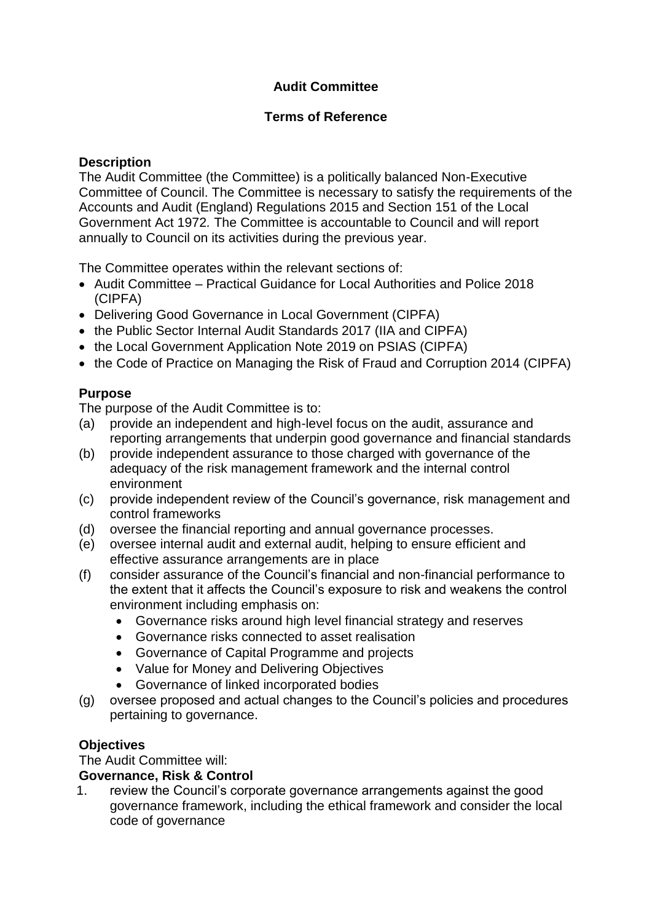# **Audit Committee**

## **Terms of Reference**

## **Description**

The Audit Committee (the Committee) is a politically balanced Non-Executive Committee of Council. The Committee is necessary to satisfy the requirements of the Accounts and Audit (England) Regulations 2015 and Section 151 of the Local Government Act 1972*.* The Committee is accountable to Council and will report annually to Council on its activities during the previous year.

The Committee operates within the relevant sections of:

- Audit Committee Practical Guidance for Local Authorities and Police 2018 (CIPFA)
- Delivering Good Governance in Local Government (CIPFA)
- the Public Sector Internal Audit Standards 2017 (IIA and CIPFA)
- the Local Government Application Note 2019 on PSIAS (CIPFA)
- the Code of Practice on Managing the Risk of Fraud and Corruption 2014 (CIPFA)

# **Purpose**

The purpose of the Audit Committee is to:

- (a) provide an independent and high-level focus on the audit, assurance and reporting arrangements that underpin good governance and financial standards
- (b) provide independent assurance to those charged with governance of the adequacy of the risk management framework and the internal control environment
- (c) provide independent review of the Council's governance, risk management and control frameworks
- (d) oversee the financial reporting and annual governance processes.
- (e) oversee internal audit and external audit, helping to ensure efficient and effective assurance arrangements are in place
- (f) consider assurance of the Council's financial and non-financial performance to the extent that it affects the Council's exposure to risk and weakens the control environment including emphasis on:
	- Governance risks around high level financial strategy and reserves
	- Governance risks connected to asset realisation
	- Governance of Capital Programme and projects
	- Value for Money and Delivering Objectives
	- Governance of linked incorporated bodies
- (g) oversee proposed and actual changes to the Council's policies and procedures pertaining to governance.

# **Objectives**

The Audit Committee will:

# **Governance, Risk & Control**

1. review the Council's corporate governance arrangements against the good governance framework, including the ethical framework and consider the local code of governance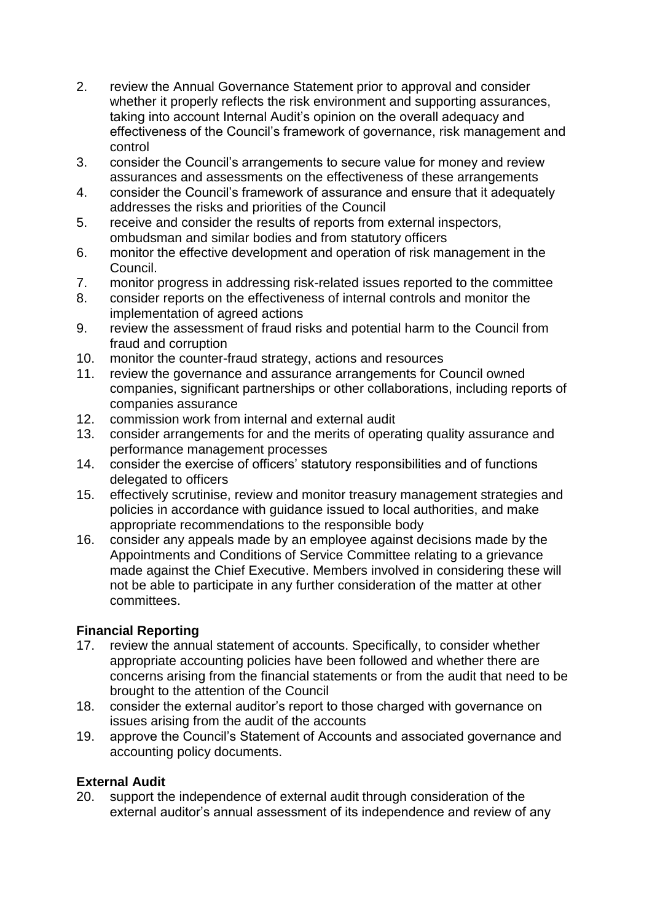- 2. review the Annual Governance Statement prior to approval and consider whether it properly reflects the risk environment and supporting assurances, taking into account Internal Audit's opinion on the overall adequacy and effectiveness of the Council's framework of governance, risk management and control
- 3. consider the Council's arrangements to secure value for money and review assurances and assessments on the effectiveness of these arrangements
- 4. consider the Council's framework of assurance and ensure that it adequately addresses the risks and priorities of the Council
- 5. receive and consider the results of reports from external inspectors, ombudsman and similar bodies and from statutory officers
- 6. monitor the effective development and operation of risk management in the Council.
- 7. monitor progress in addressing risk-related issues reported to the committee
- 8. consider reports on the effectiveness of internal controls and monitor the implementation of agreed actions
- 9. review the assessment of fraud risks and potential harm to the Council from fraud and corruption
- 10. monitor the counter-fraud strategy, actions and resources
- 11. review the governance and assurance arrangements for Council owned companies, significant partnerships or other collaborations, including reports of companies assurance
- 12. commission work from internal and external audit
- 13. consider arrangements for and the merits of operating quality assurance and performance management processes
- 14. consider the exercise of officers' statutory responsibilities and of functions delegated to officers
- 15. effectively scrutinise, review and monitor treasury management strategies and policies in accordance with guidance issued to local authorities, and make appropriate recommendations to the responsible body
- 16. consider any appeals made by an employee against decisions made by the Appointments and Conditions of Service Committee relating to a grievance made against the Chief Executive. Members involved in considering these will not be able to participate in any further consideration of the matter at other committees.

# **Financial Reporting**

- 17. review the annual statement of accounts. Specifically, to consider whether appropriate accounting policies have been followed and whether there are concerns arising from the financial statements or from the audit that need to be brought to the attention of the Council
- 18. consider the external auditor's report to those charged with governance on issues arising from the audit of the accounts
- 19. approve the Council's Statement of Accounts and associated governance and accounting policy documents.

# **External Audit**

20. support the independence of external audit through consideration of the external auditor's annual assessment of its independence and review of any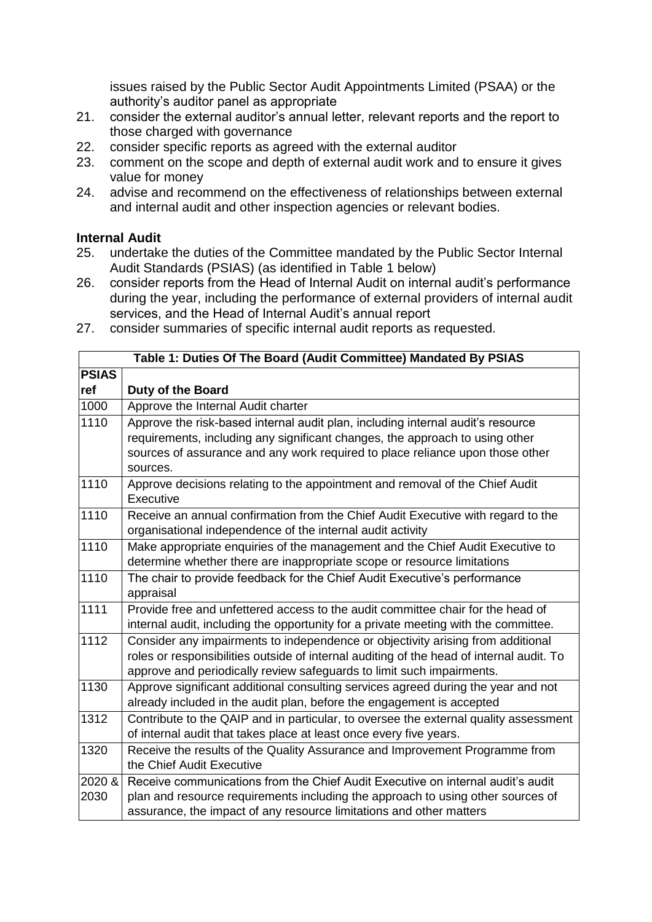issues raised by the Public Sector Audit Appointments Limited (PSAA) or the authority's auditor panel as appropriate

- 21. consider the external auditor's annual letter, relevant reports and the report to those charged with governance
- 22. consider specific reports as agreed with the external auditor
- 23. comment on the scope and depth of external audit work and to ensure it gives value for money
- 24. advise and recommend on the effectiveness of relationships between external and internal audit and other inspection agencies or relevant bodies.

## **Internal Audit**

- 25. undertake the duties of the Committee mandated by the Public Sector Internal Audit Standards (PSIAS) (as identified in Table 1 below)
- 26. consider reports from the Head of Internal Audit on internal audit's performance during the year, including the performance of external providers of internal audit services, and the Head of Internal Audit's annual report
- 27. consider summaries of specific internal audit reports as requested.

| Table 1: Duties Of The Board (Audit Committee) Mandated By PSIAS |                                                                                          |
|------------------------------------------------------------------|------------------------------------------------------------------------------------------|
| <b>PSIAS</b>                                                     |                                                                                          |
| ref                                                              | Duty of the Board                                                                        |
| 1000                                                             | Approve the Internal Audit charter                                                       |
| 1110                                                             | Approve the risk-based internal audit plan, including internal audit's resource          |
|                                                                  | requirements, including any significant changes, the approach to using other             |
|                                                                  | sources of assurance and any work required to place reliance upon those other            |
|                                                                  | sources.                                                                                 |
| 1110                                                             | Approve decisions relating to the appointment and removal of the Chief Audit             |
|                                                                  | Executive                                                                                |
| 1110                                                             | Receive an annual confirmation from the Chief Audit Executive with regard to the         |
|                                                                  | organisational independence of the internal audit activity                               |
| 1110                                                             | Make appropriate enquiries of the management and the Chief Audit Executive to            |
|                                                                  | determine whether there are inappropriate scope or resource limitations                  |
| 1110                                                             | The chair to provide feedback for the Chief Audit Executive's performance                |
|                                                                  | appraisal                                                                                |
| 1111                                                             | Provide free and unfettered access to the audit committee chair for the head of          |
|                                                                  | internal audit, including the opportunity for a private meeting with the committee.      |
| $\overline{1112}$                                                | Consider any impairments to independence or objectivity arising from additional          |
|                                                                  | roles or responsibilities outside of internal auditing of the head of internal audit. To |
|                                                                  | approve and periodically review safeguards to limit such impairments.                    |
| 1130                                                             | Approve significant additional consulting services agreed during the year and not        |
|                                                                  | already included in the audit plan, before the engagement is accepted                    |
| 1312                                                             | Contribute to the QAIP and in particular, to oversee the external quality assessment     |
|                                                                  | of internal audit that takes place at least once every five years.                       |
| 1320                                                             | Receive the results of the Quality Assurance and Improvement Programme from              |
|                                                                  | the Chief Audit Executive                                                                |
| 2020 &                                                           | Receive communications from the Chief Audit Executive on internal audit's audit          |
| 2030                                                             | plan and resource requirements including the approach to using other sources of          |
|                                                                  | assurance, the impact of any resource limitations and other matters                      |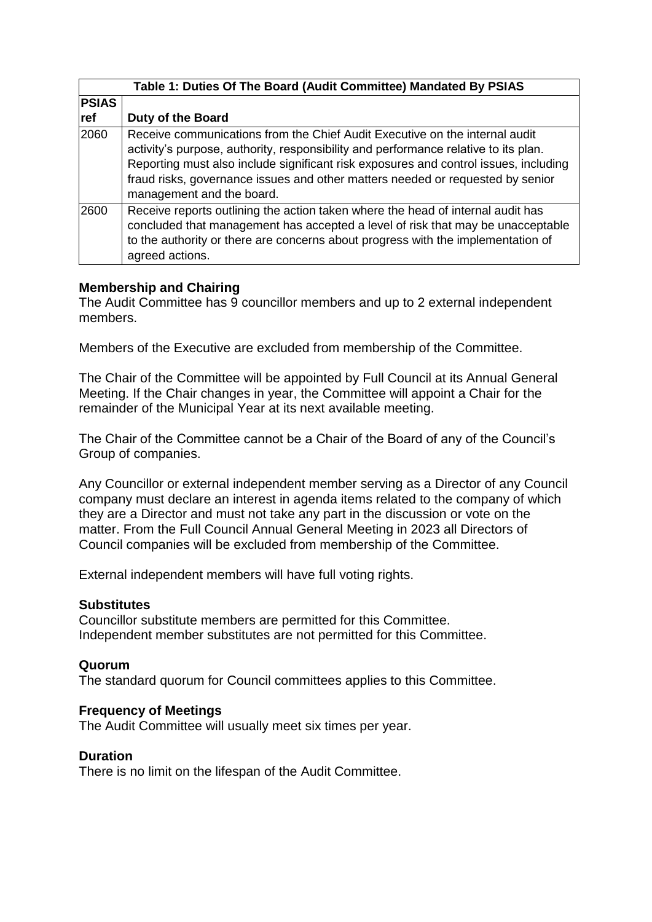| Table 1: Duties Of The Board (Audit Committee) Mandated By PSIAS |                                                                                                                                                                                                                                                                                                                                                                           |
|------------------------------------------------------------------|---------------------------------------------------------------------------------------------------------------------------------------------------------------------------------------------------------------------------------------------------------------------------------------------------------------------------------------------------------------------------|
| <b>PSIAS</b>                                                     |                                                                                                                                                                                                                                                                                                                                                                           |
| ref                                                              | <b>Duty of the Board</b>                                                                                                                                                                                                                                                                                                                                                  |
| 2060                                                             | Receive communications from the Chief Audit Executive on the internal audit<br>activity's purpose, authority, responsibility and performance relative to its plan.<br>Reporting must also include significant risk exposures and control issues, including<br>fraud risks, governance issues and other matters needed or requested by senior<br>management and the board. |
| 2600                                                             | Receive reports outlining the action taken where the head of internal audit has<br>concluded that management has accepted a level of risk that may be unacceptable<br>to the authority or there are concerns about progress with the implementation of<br>agreed actions.                                                                                                 |

## **Membership and Chairing**

The Audit Committee has 9 councillor members and up to 2 external independent members.

Members of the Executive are excluded from membership of the Committee.

The Chair of the Committee will be appointed by Full Council at its Annual General Meeting. If the Chair changes in year, the Committee will appoint a Chair for the remainder of the Municipal Year at its next available meeting.

The Chair of the Committee cannot be a Chair of the Board of any of the Council's Group of companies.

Any Councillor or external independent member serving as a Director of any Council company must declare an interest in agenda items related to the company of which they are a Director and must not take any part in the discussion or vote on the matter. From the Full Council Annual General Meeting in 2023 all Directors of Council companies will be excluded from membership of the Committee.

External independent members will have full voting rights.

## **Substitutes**

Councillor substitute members are permitted for this Committee. Independent member substitutes are not permitted for this Committee.

## **Quorum**

The standard quorum for Council committees applies to this Committee.

## **Frequency of Meetings**

The Audit Committee will usually meet six times per year.

## **Duration**

There is no limit on the lifespan of the Audit Committee.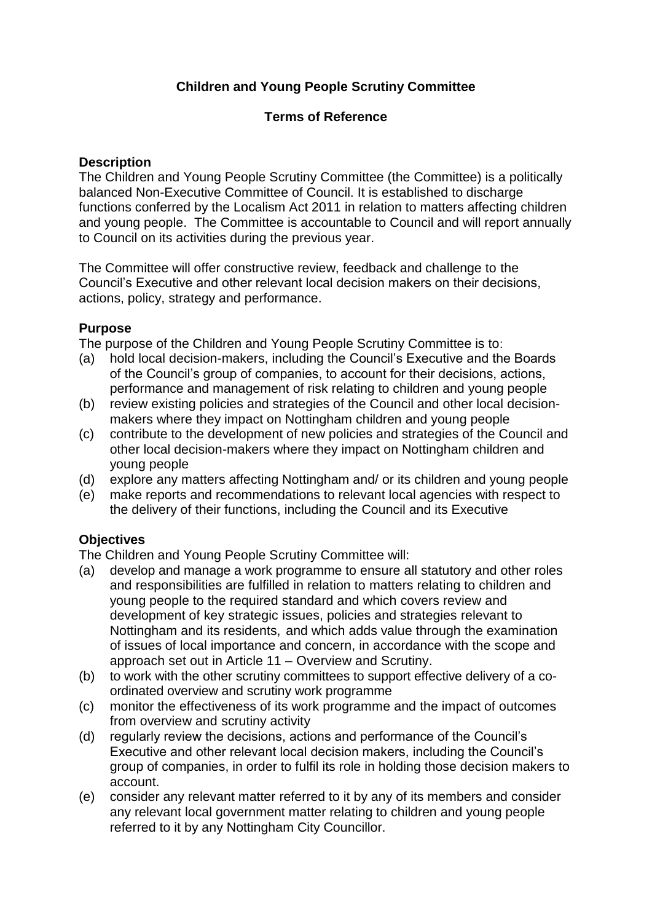# **Children and Young People Scrutiny Committee**

## **Terms of Reference**

## **Description**

The Children and Young People Scrutiny Committee (the Committee) is a politically balanced Non-Executive Committee of Council. It is established to discharge functions conferred by the Localism Act 2011 in relation to matters affecting children and young people. The Committee is accountable to Council and will report annually to Council on its activities during the previous year.

The Committee will offer constructive review, feedback and challenge to the Council's Executive and other relevant local decision makers on their decisions, actions, policy, strategy and performance.

## **Purpose**

The purpose of the Children and Young People Scrutiny Committee is to:

- (a) hold local decision-makers, including the Council's Executive and the Boards of the Council's group of companies, to account for their decisions, actions, performance and management of risk relating to children and young people
- (b) review existing policies and strategies of the Council and other local decisionmakers where they impact on Nottingham children and young people
- (c) contribute to the development of new policies and strategies of the Council and other local decision-makers where they impact on Nottingham children and young people
- (d) explore any matters affecting Nottingham and/ or its children and young people
- (e) make reports and recommendations to relevant local agencies with respect to the delivery of their functions, including the Council and its Executive

## **Objectives**

The Children and Young People Scrutiny Committee will:

- (a) develop and manage a work programme to ensure all statutory and other roles and responsibilities are fulfilled in relation to matters relating to children and young people to the required standard and which covers review and development of key strategic issues, policies and strategies relevant to Nottingham and its residents, and which adds value through the examination of issues of local importance and concern, in accordance with the scope and approach set out in Article 11 – Overview and Scrutiny.
- (b) to work with the other scrutiny committees to support effective delivery of a coordinated overview and scrutiny work programme
- (c) monitor the effectiveness of its work programme and the impact of outcomes from overview and scrutiny activity
- (d) regularly review the decisions, actions and performance of the Council's Executive and other relevant local decision makers, including the Council's group of companies, in order to fulfil its role in holding those decision makers to account.
- (e) consider any relevant matter referred to it by any of its members and consider any relevant local government matter relating to children and young people referred to it by any Nottingham City Councillor.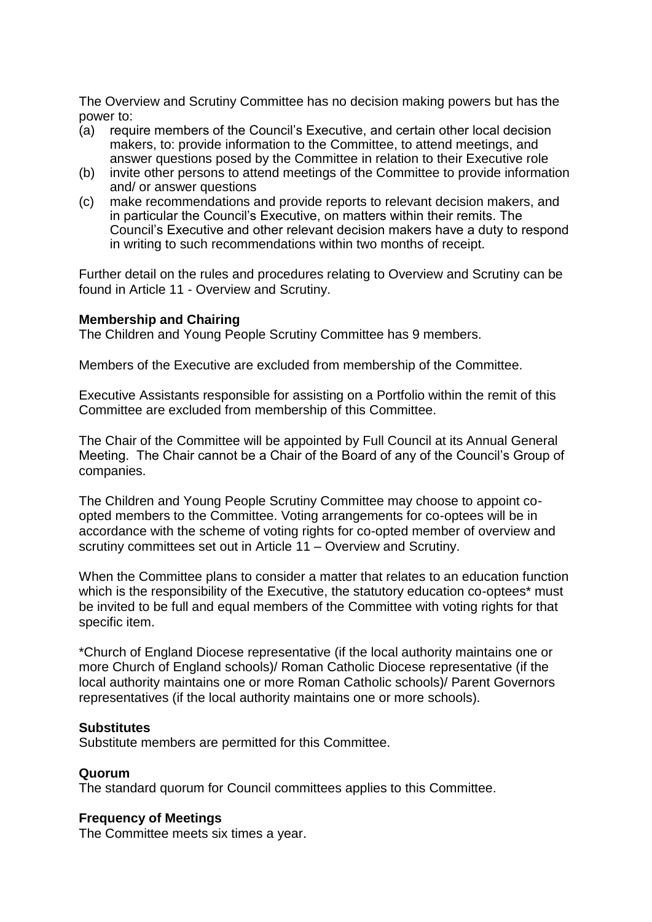The Overview and Scrutiny Committee has no decision making powers but has the power to:

- (a) require members of the Council's Executive, and certain other local decision makers, to: provide information to the Committee, to attend meetings, and answer questions posed by the Committee in relation to their Executive role
- (b) invite other persons to attend meetings of the Committee to provide information and/ or answer questions
- (c) make recommendations and provide reports to relevant decision makers, and in particular the Council's Executive, on matters within their remits. The Council's Executive and other relevant decision makers have a duty to respond in writing to such recommendations within two months of receipt.

Further detail on the rules and procedures relating to Overview and Scrutiny can be found in Article 11 - Overview and Scrutiny.

#### **Membership and Chairing**

The Children and Young People Scrutiny Committee has 9 members.

Members of the Executive are excluded from membership of the Committee.

Executive Assistants responsible for assisting on a Portfolio within the remit of this Committee are excluded from membership of this Committee.

The Chair of the Committee will be appointed by Full Council at its Annual General Meeting. The Chair cannot be a Chair of the Board of any of the Council's Group of companies.

The Children and Young People Scrutiny Committee may choose to appoint coopted members to the Committee. Voting arrangements for co-optees will be in accordance with the scheme of voting rights for co-opted member of overview and scrutiny committees set out in Article 11 – Overview and Scrutiny.

When the Committee plans to consider a matter that relates to an education function which is the responsibility of the Executive, the statutory education co-optees<sup>\*</sup> must be invited to be full and equal members of the Committee with voting rights for that specific item.

\*Church of England Diocese representative (if the local authority maintains one or more Church of England schools)/ Roman Catholic Diocese representative (if the local authority maintains one or more Roman Catholic schools)/ Parent Governors representatives (if the local authority maintains one or more schools).

#### **Substitutes**

Substitute members are permitted for this Committee.

#### **Quorum**

The standard quorum for Council committees applies to this Committee.

#### **Frequency of Meetings**

The Committee meets six times a year.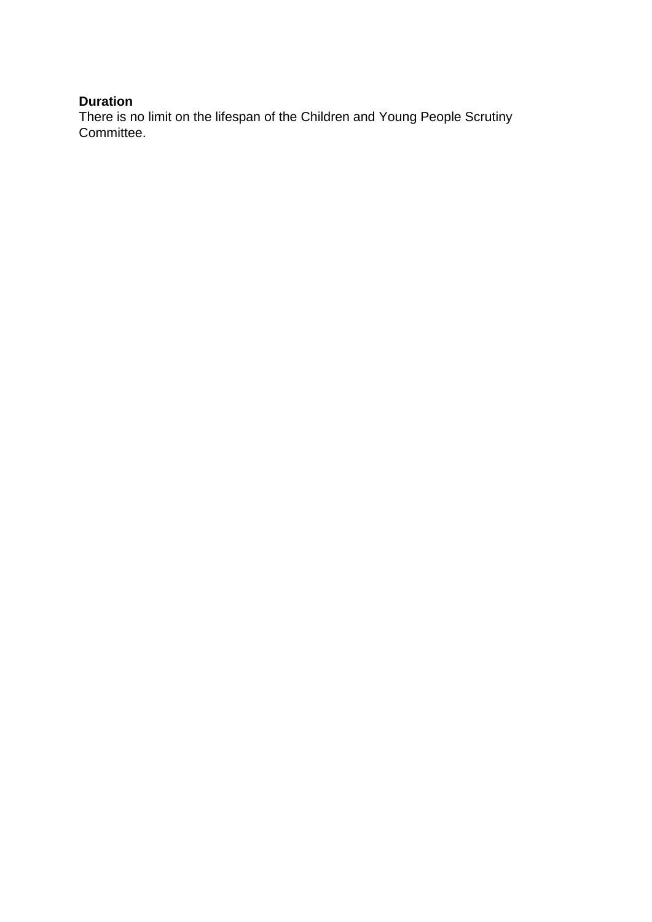# **Duration**

There is no limit on the lifespan of the Children and Young People Scrutiny Committee.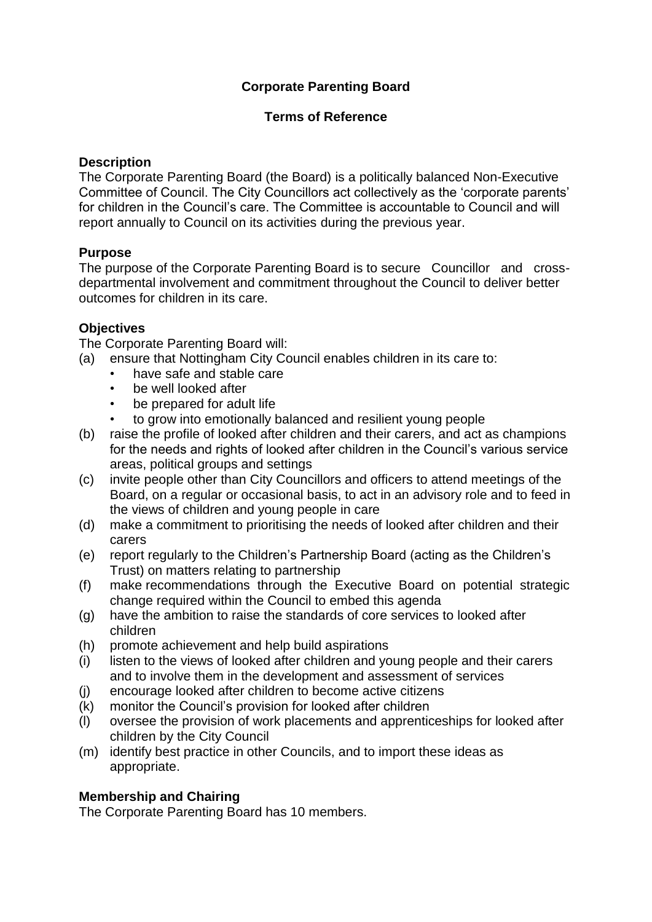# **Corporate Parenting Board**

## **Terms of Reference**

### **Description**

The Corporate Parenting Board (the Board) is a politically balanced Non-Executive Committee of Council. The City Councillors act collectively as the 'corporate parents' for children in the Council's care. The Committee is accountable to Council and will report annually to Council on its activities during the previous year.

## **Purpose**

The purpose of the Corporate Parenting Board is to secure Councillor and crossdepartmental involvement and commitment throughout the Council to deliver better outcomes for children in its care.

## **Objectives**

The Corporate Parenting Board will:

- (a) ensure that Nottingham City Council enables children in its care to:
	- have safe and stable care
	- be well looked after
	- be prepared for adult life
	- to grow into emotionally balanced and resilient young people
- (b) raise the profile of looked after children and their carers, and act as champions for the needs and rights of looked after children in the Council's various service areas, political groups and settings
- (c) invite people other than City Councillors and officers to attend meetings of the Board, on a regular or occasional basis, to act in an advisory role and to feed in the views of children and young people in care
- (d) make a commitment to prioritising the needs of looked after children and their carers
- (e) report regularly to the Children's Partnership Board (acting as the Children's Trust) on matters relating to partnership
- (f) make recommendations through the Executive Board on potential strategic change required within the Council to embed this agenda
- (g) have the ambition to raise the standards of core services to looked after children
- (h) promote achievement and help build aspirations
- (i) listen to the views of looked after children and young people and their carers and to involve them in the development and assessment of services
- (j) encourage looked after children to become active citizens
- (k) monitor the Council's provision for looked after children
- (l) oversee the provision of work placements and apprenticeships for looked after children by the City Council
- (m) identify best practice in other Councils, and to import these ideas as appropriate.

## **Membership and Chairing**

The Corporate Parenting Board has 10 members.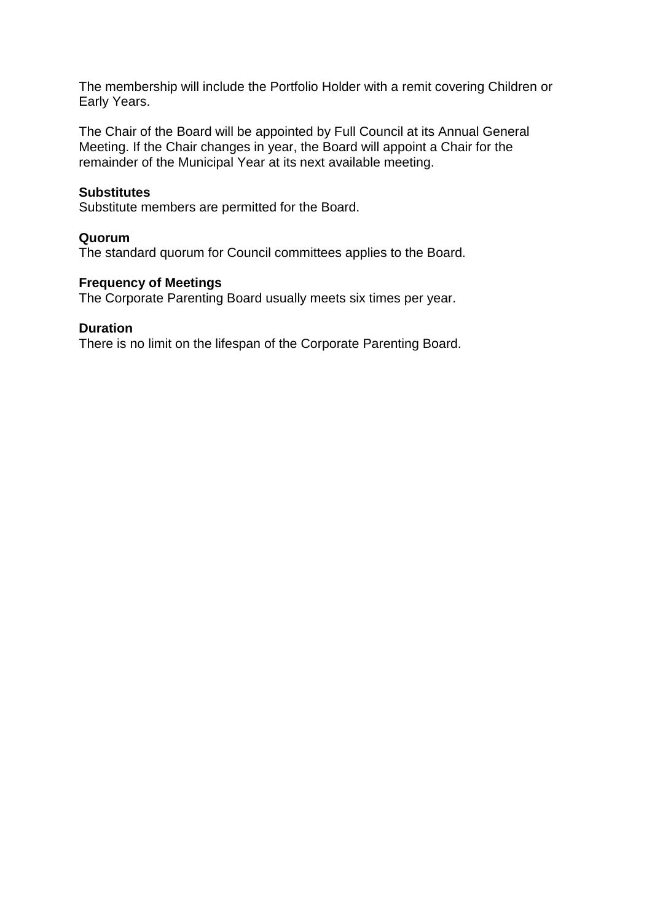The membership will include the Portfolio Holder with a remit covering Children or Early Years.

The Chair of the Board will be appointed by Full Council at its Annual General Meeting. If the Chair changes in year, the Board will appoint a Chair for the remainder of the Municipal Year at its next available meeting.

#### **Substitutes**

Substitute members are permitted for the Board.

### **Quorum**

The standard quorum for Council committees applies to the Board.

### **Frequency of Meetings**

The Corporate Parenting Board usually meets six times per year.

#### **Duration**

There is no limit on the lifespan of the Corporate Parenting Board.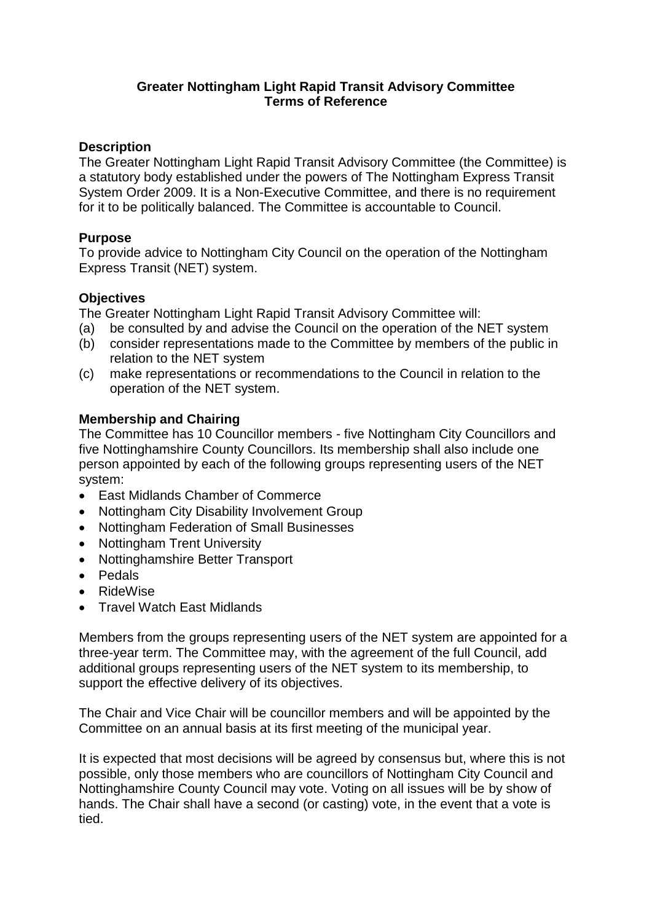## **Greater Nottingham Light Rapid Transit Advisory Committee Terms of Reference**

## **Description**

The Greater Nottingham Light Rapid Transit Advisory Committee (the Committee) is a statutory body established under the powers of The Nottingham Express Transit System Order 2009. It is a Non-Executive Committee, and there is no requirement for it to be politically balanced. The Committee is accountable to Council.

## **Purpose**

To provide advice to Nottingham City Council on the operation of the Nottingham Express Transit (NET) system.

## **Objectives**

The Greater Nottingham Light Rapid Transit Advisory Committee will:

- (a) be consulted by and advise the Council on the operation of the NET system
- (b) consider representations made to the Committee by members of the public in relation to the NET system
- (c) make representations or recommendations to the Council in relation to the operation of the NET system.

## **Membership and Chairing**

The Committee has 10 Councillor members - five Nottingham City Councillors and five Nottinghamshire County Councillors. Its membership shall also include one person appointed by each of the following groups representing users of the NET system:

- East Midlands Chamber of Commerce
- Nottingham City Disability Involvement Group
- Nottingham Federation of Small Businesses
- Nottingham Trent University
- Nottinghamshire Better Transport
- Pedals
- RideWise
- Travel Watch East Midlands

Members from the groups representing users of the NET system are appointed for a three-year term. The Committee may, with the agreement of the full Council, add additional groups representing users of the NET system to its membership, to support the effective delivery of its objectives.

The Chair and Vice Chair will be councillor members and will be appointed by the Committee on an annual basis at its first meeting of the municipal year.

It is expected that most decisions will be agreed by consensus but, where this is not possible, only those members who are councillors of Nottingham City Council and Nottinghamshire County Council may vote. Voting on all issues will be by show of hands. The Chair shall have a second (or casting) vote, in the event that a vote is tied.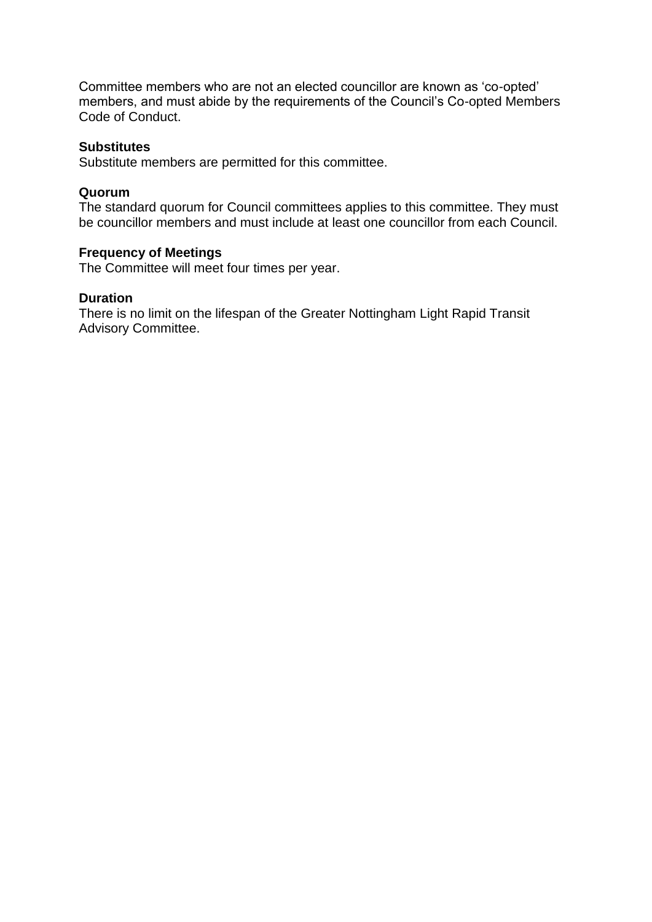Committee members who are not an elected councillor are known as 'co-opted' members, and must abide by the requirements of the Council's Co-opted Members Code of Conduct.

### **Substitutes**

Substitute members are permitted for this committee.

#### **Quorum**

The standard quorum for Council committees applies to this committee. They must be councillor members and must include at least one councillor from each Council.

### **Frequency of Meetings**

The Committee will meet four times per year.

### **Duration**

There is no limit on the lifespan of the Greater Nottingham Light Rapid Transit Advisory Committee.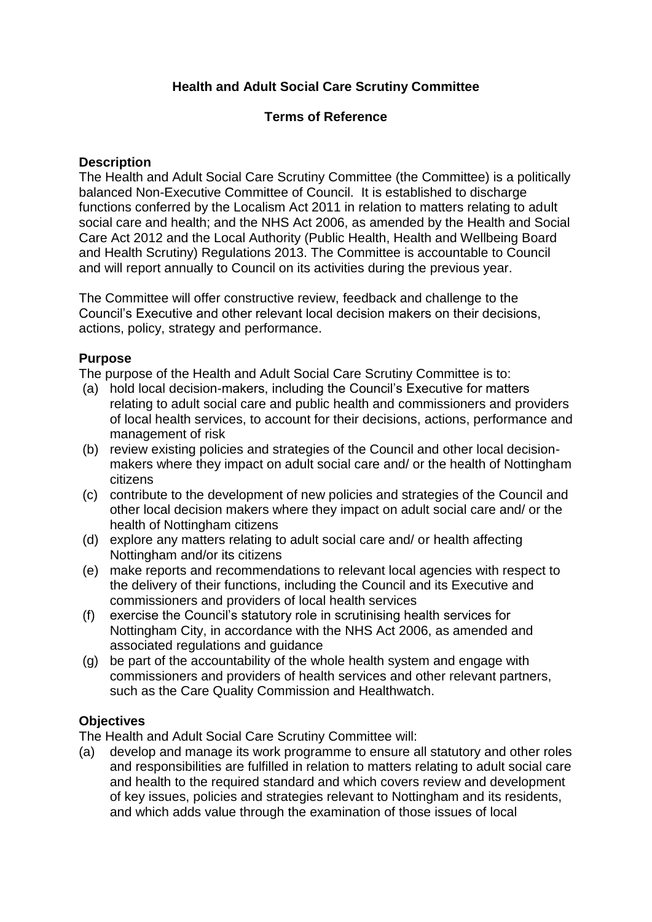# **Health and Adult Social Care Scrutiny Committee**

## **Terms of Reference**

## **Description**

The Health and Adult Social Care Scrutiny Committee (the Committee) is a politically balanced Non-Executive Committee of Council. It is established to discharge functions conferred by the Localism Act 2011 in relation to matters relating to adult social care and health; and the NHS Act 2006, as amended by the Health and Social Care Act 2012 and the Local Authority (Public Health, Health and Wellbeing Board and Health Scrutiny) Regulations 2013. The Committee is accountable to Council and will report annually to Council on its activities during the previous year.

The Committee will offer constructive review, feedback and challenge to the Council's Executive and other relevant local decision makers on their decisions, actions, policy, strategy and performance.

# **Purpose**

The purpose of the Health and Adult Social Care Scrutiny Committee is to:

- (a) hold local decision-makers, including the Council's Executive for matters relating to adult social care and public health and commissioners and providers of local health services, to account for their decisions, actions, performance and management of risk
- (b) review existing policies and strategies of the Council and other local decisionmakers where they impact on adult social care and/ or the health of Nottingham citizens
- (c) contribute to the development of new policies and strategies of the Council and other local decision makers where they impact on adult social care and/ or the health of Nottingham citizens
- (d) explore any matters relating to adult social care and/ or health affecting Nottingham and/or its citizens
- (e) make reports and recommendations to relevant local agencies with respect to the delivery of their functions, including the Council and its Executive and commissioners and providers of local health services
- (f) exercise the Council's statutory role in scrutinising health services for Nottingham City, in accordance with the NHS Act 2006, as amended and associated regulations and guidance
- (g) be part of the accountability of the whole health system and engage with commissioners and providers of health services and other relevant partners, such as the Care Quality Commission and Healthwatch.

## **Objectives**

The Health and Adult Social Care Scrutiny Committee will:

(a) develop and manage its work programme to ensure all statutory and other roles and responsibilities are fulfilled in relation to matters relating to adult social care and health to the required standard and which covers review and development of key issues, policies and strategies relevant to Nottingham and its residents, and which adds value through the examination of those issues of local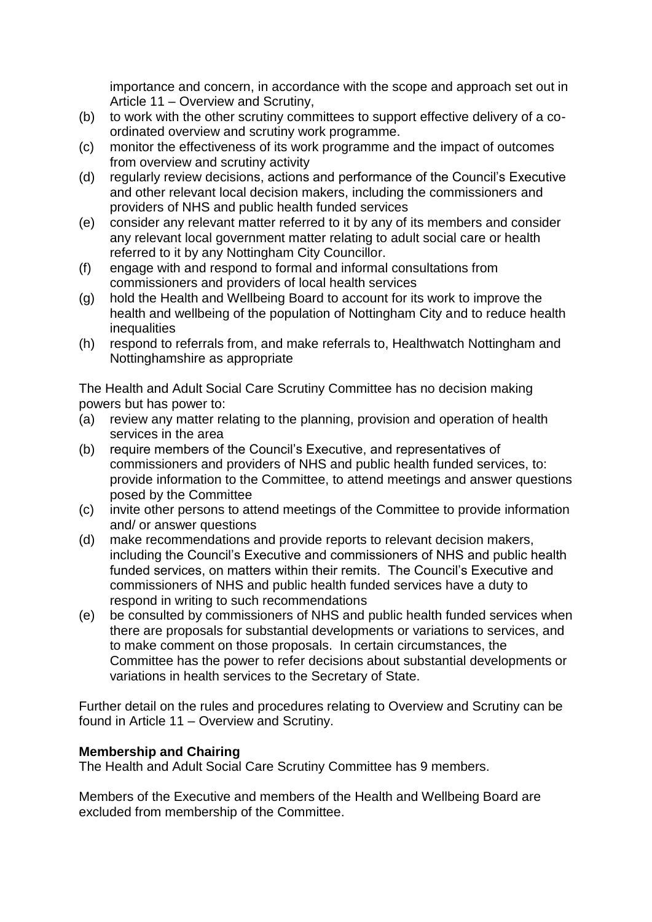importance and concern, in accordance with the scope and approach set out in Article 11 – Overview and Scrutiny,

- (b) to work with the other scrutiny committees to support effective delivery of a coordinated overview and scrutiny work programme.
- (c) monitor the effectiveness of its work programme and the impact of outcomes from overview and scrutiny activity
- (d) regularly review decisions, actions and performance of the Council's Executive and other relevant local decision makers, including the commissioners and providers of NHS and public health funded services
- (e) consider any relevant matter referred to it by any of its members and consider any relevant local government matter relating to adult social care or health referred to it by any Nottingham City Councillor.
- (f) engage with and respond to formal and informal consultations from commissioners and providers of local health services
- (g) hold the Health and Wellbeing Board to account for its work to improve the health and wellbeing of the population of Nottingham City and to reduce health **inequalities**
- (h) respond to referrals from, and make referrals to, Healthwatch Nottingham and Nottinghamshire as appropriate

The Health and Adult Social Care Scrutiny Committee has no decision making powers but has power to:

- (a) review any matter relating to the planning, provision and operation of health services in the area
- (b) require members of the Council's Executive, and representatives of commissioners and providers of NHS and public health funded services, to: provide information to the Committee, to attend meetings and answer questions posed by the Committee
- (c) invite other persons to attend meetings of the Committee to provide information and/ or answer questions
- (d) make recommendations and provide reports to relevant decision makers, including the Council's Executive and commissioners of NHS and public health funded services, on matters within their remits. The Council's Executive and commissioners of NHS and public health funded services have a duty to respond in writing to such recommendations
- (e) be consulted by commissioners of NHS and public health funded services when there are proposals for substantial developments or variations to services, and to make comment on those proposals. In certain circumstances, the Committee has the power to refer decisions about substantial developments or variations in health services to the Secretary of State.

Further detail on the rules and procedures relating to Overview and Scrutiny can be found in Article 11 – Overview and Scrutiny.

# **Membership and Chairing**

The Health and Adult Social Care Scrutiny Committee has 9 members.

Members of the Executive and members of the Health and Wellbeing Board are excluded from membership of the Committee.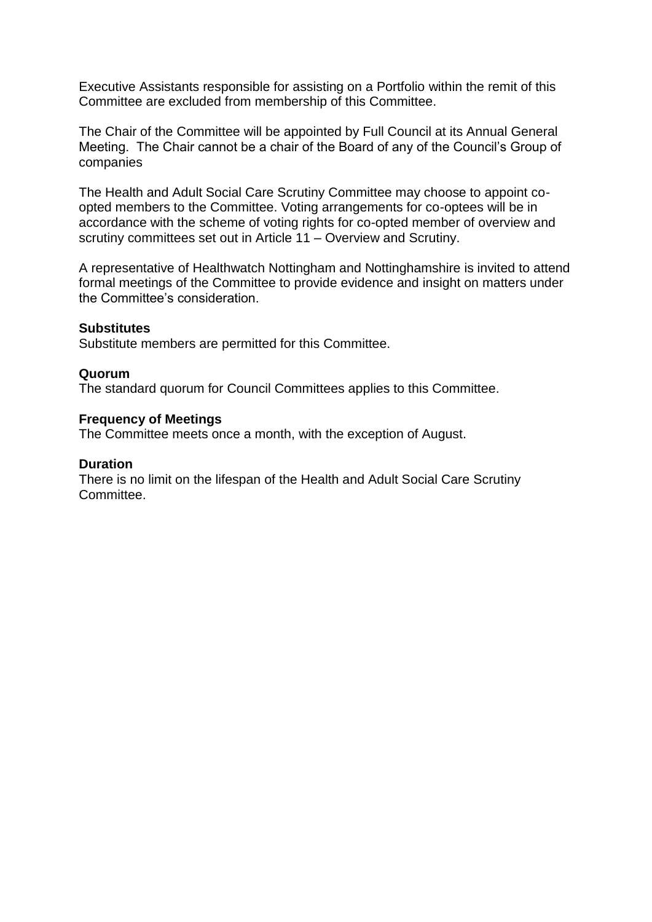Executive Assistants responsible for assisting on a Portfolio within the remit of this Committee are excluded from membership of this Committee.

The Chair of the Committee will be appointed by Full Council at its Annual General Meeting. The Chair cannot be a chair of the Board of any of the Council's Group of companies

The Health and Adult Social Care Scrutiny Committee may choose to appoint coopted members to the Committee. Voting arrangements for co-optees will be in accordance with the scheme of voting rights for co-opted member of overview and scrutiny committees set out in Article 11 – Overview and Scrutiny.

A representative of Healthwatch Nottingham and Nottinghamshire is invited to attend formal meetings of the Committee to provide evidence and insight on matters under the Committee's consideration.

#### **Substitutes**

Substitute members are permitted for this Committee.

#### **Quorum**

The standard quorum for Council Committees applies to this Committee.

#### **Frequency of Meetings**

The Committee meets once a month, with the exception of August.

#### **Duration**

There is no limit on the lifespan of the Health and Adult Social Care Scrutiny Committee.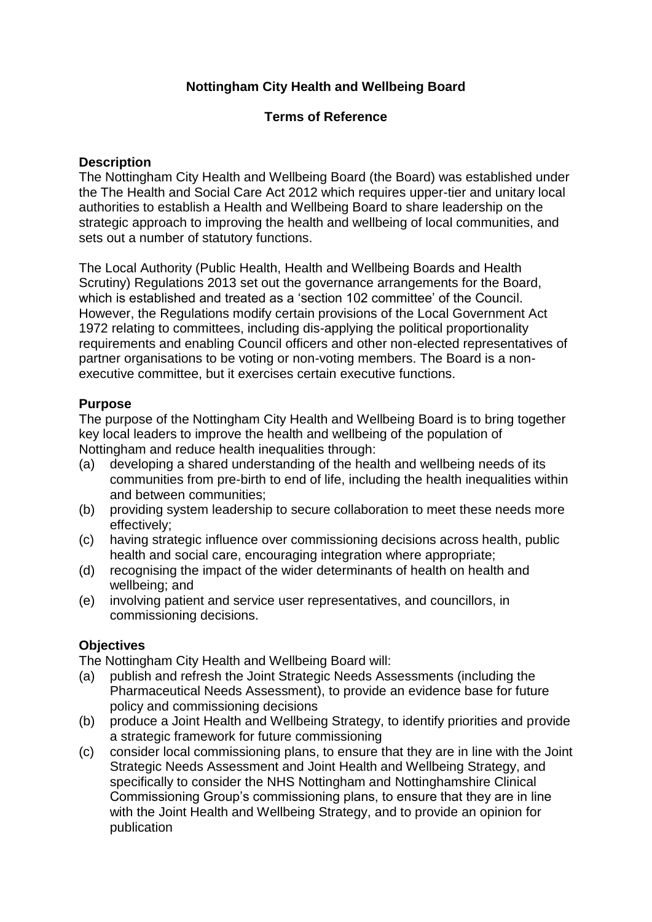# **Nottingham City Health and Wellbeing Board**

## **Terms of Reference**

## **Description**

The Nottingham City Health and Wellbeing Board (the Board) was established under the The Health and Social Care Act 2012 which requires upper-tier and unitary local authorities to establish a Health and Wellbeing Board to share leadership on the strategic approach to improving the health and wellbeing of local communities, and sets out a number of statutory functions.

The Local Authority (Public Health, Health and Wellbeing Boards and Health Scrutiny) Regulations 2013 set out the governance arrangements for the Board, which is established and treated as a 'section 102 committee' of the Council. However, the Regulations modify certain provisions of the Local Government Act 1972 relating to committees, including dis-applying the political proportionality requirements and enabling Council officers and other non-elected representatives of partner organisations to be voting or non-voting members. The Board is a nonexecutive committee, but it exercises certain executive functions.

## **Purpose**

The purpose of the Nottingham City Health and Wellbeing Board is to bring together key local leaders to improve the health and wellbeing of the population of Nottingham and reduce health inequalities through:

- (a) developing a shared understanding of the health and wellbeing needs of its communities from pre-birth to end of life, including the health inequalities within and between communities;
- (b) providing system leadership to secure collaboration to meet these needs more effectively;
- (c) having strategic influence over commissioning decisions across health, public health and social care, encouraging integration where appropriate;
- (d) recognising the impact of the wider determinants of health on health and wellbeing; and
- (e) involving patient and service user representatives, and councillors, in commissioning decisions.

# **Objectives**

The Nottingham City Health and Wellbeing Board will:

- (a) publish and refresh the Joint Strategic Needs Assessments (including the Pharmaceutical Needs Assessment), to provide an evidence base for future policy and commissioning decisions
- (b) produce a Joint Health and Wellbeing Strategy, to identify priorities and provide a strategic framework for future commissioning
- (c) consider local commissioning plans, to ensure that they are in line with the Joint Strategic Needs Assessment and Joint Health and Wellbeing Strategy, and specifically to consider the NHS Nottingham and Nottinghamshire Clinical Commissioning Group's commissioning plans, to ensure that they are in line with the Joint Health and Wellbeing Strategy, and to provide an opinion for publication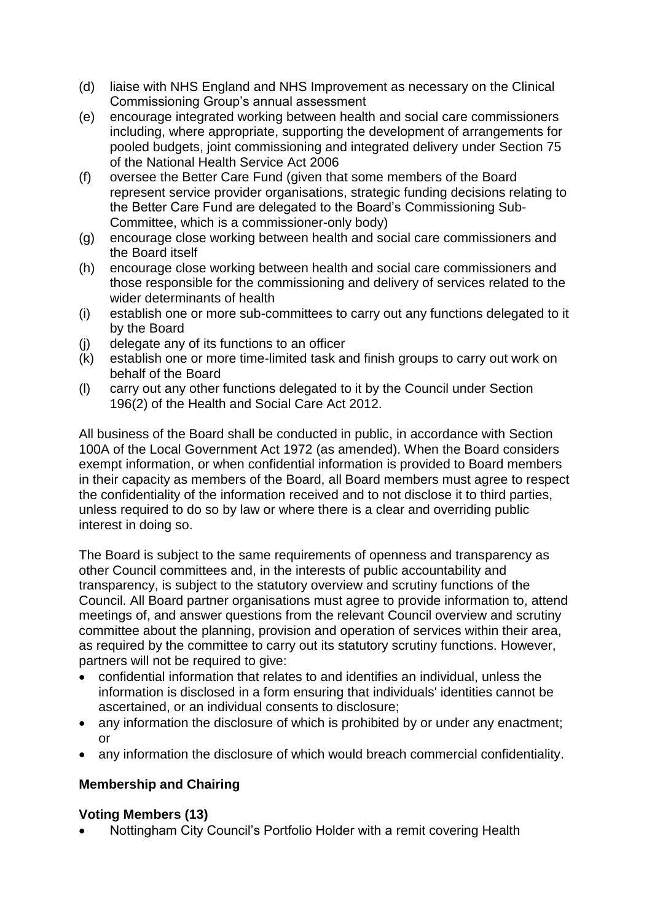- (d) liaise with NHS England and NHS Improvement as necessary on the Clinical Commissioning Group's annual assessment
- (e) encourage integrated working between health and social care commissioners including, where appropriate, supporting the development of arrangements for pooled budgets, joint commissioning and integrated delivery under Section 75 of the National Health Service Act 2006
- (f) oversee the Better Care Fund (given that some members of the Board represent service provider organisations, strategic funding decisions relating to the Better Care Fund are delegated to the Board's Commissioning Sub-Committee, which is a commissioner-only body)
- (g) encourage close working between health and social care commissioners and the Board itself
- (h) encourage close working between health and social care commissioners and those responsible for the commissioning and delivery of services related to the wider determinants of health
- (i) establish one or more sub-committees to carry out any functions delegated to it by the Board
- (j) delegate any of its functions to an officer
- (k) establish one or more time-limited task and finish groups to carry out work on behalf of the Board
- (l) carry out any other functions delegated to it by the Council under Section 196(2) of the Health and Social Care Act 2012.

All business of the Board shall be conducted in public, in accordance with Section 100A of the Local Government Act 1972 (as amended). When the Board considers exempt information, or when confidential information is provided to Board members in their capacity as members of the Board, all Board members must agree to respect the confidentiality of the information received and to not disclose it to third parties, unless required to do so by law or where there is a clear and overriding public interest in doing so.

The Board is subject to the same requirements of openness and transparency as other Council committees and, in the interests of public accountability and transparency, is subject to the statutory overview and scrutiny functions of the Council. All Board partner organisations must agree to provide information to, attend meetings of, and answer questions from the relevant Council overview and scrutiny committee about the planning, provision and operation of services within their area, as required by the committee to carry out its statutory scrutiny functions. However, partners will not be required to give:

- confidential information that relates to and identifies an individual, unless the information is disclosed in a form ensuring that individuals' identities cannot be ascertained, or an individual consents to disclosure;
- any information the disclosure of which is prohibited by or under any enactment; or
- any information the disclosure of which would breach commercial confidentiality.

# **Membership and Chairing**

# **Voting Members (13)**

Nottingham City Council's Portfolio Holder with a remit covering Health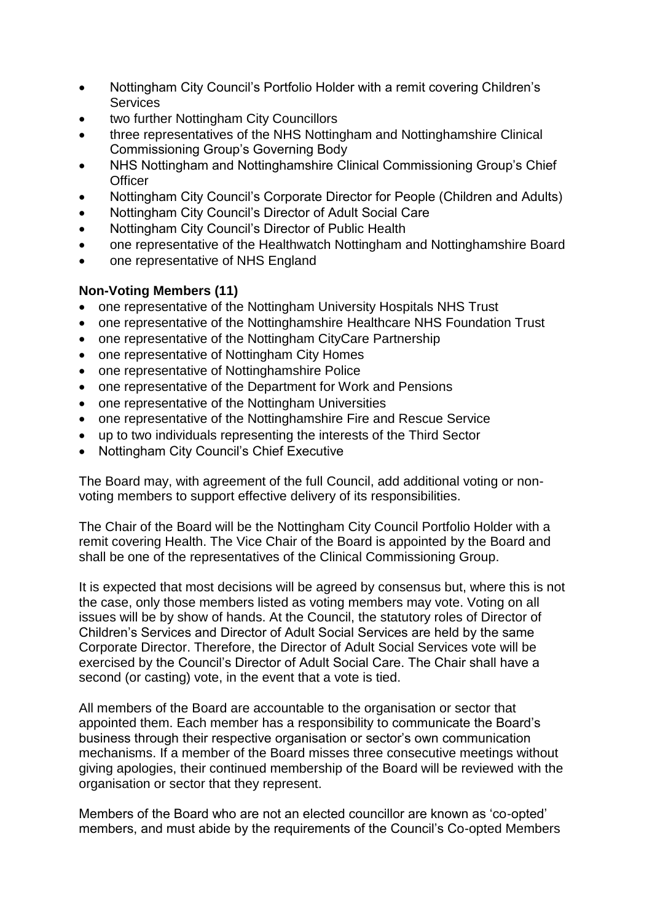- Nottingham City Council's Portfolio Holder with a remit covering Children's **Services**
- two further Nottingham City Councillors
- three representatives of the NHS Nottingham and Nottinghamshire Clinical Commissioning Group's Governing Body
- NHS Nottingham and Nottinghamshire Clinical Commissioning Group's Chief **Officer**
- Nottingham City Council's Corporate Director for People (Children and Adults)
- Nottingham City Council's Director of Adult Social Care
- Nottingham City Council's Director of Public Health
- one representative of the Healthwatch Nottingham and Nottinghamshire Board
- one representative of NHS England

## **Non-Voting Members (11)**

- one representative of the Nottingham University Hospitals NHS Trust
- one representative of the Nottinghamshire Healthcare NHS Foundation Trust
- one representative of the Nottingham CityCare Partnership
- one representative of Nottingham City Homes
- one representative of Nottinghamshire Police
- one representative of the Department for Work and Pensions
- one representative of the Nottingham Universities
- one representative of the Nottinghamshire Fire and Rescue Service
- up to two individuals representing the interests of the Third Sector
- Nottingham City Council's Chief Executive

The Board may, with agreement of the full Council, add additional voting or nonvoting members to support effective delivery of its responsibilities.

The Chair of the Board will be the Nottingham City Council Portfolio Holder with a remit covering Health. The Vice Chair of the Board is appointed by the Board and shall be one of the representatives of the Clinical Commissioning Group.

It is expected that most decisions will be agreed by consensus but, where this is not the case, only those members listed as voting members may vote. Voting on all issues will be by show of hands. At the Council, the statutory roles of Director of Children's Services and Director of Adult Social Services are held by the same Corporate Director. Therefore, the Director of Adult Social Services vote will be exercised by the Council's Director of Adult Social Care. The Chair shall have a second (or casting) vote, in the event that a vote is tied.

All members of the Board are accountable to the organisation or sector that appointed them. Each member has a responsibility to communicate the Board's business through their respective organisation or sector's own communication mechanisms. If a member of the Board misses three consecutive meetings without giving apologies, their continued membership of the Board will be reviewed with the organisation or sector that they represent.

Members of the Board who are not an elected councillor are known as 'co-opted' members, and must abide by the requirements of the Council's Co-opted Members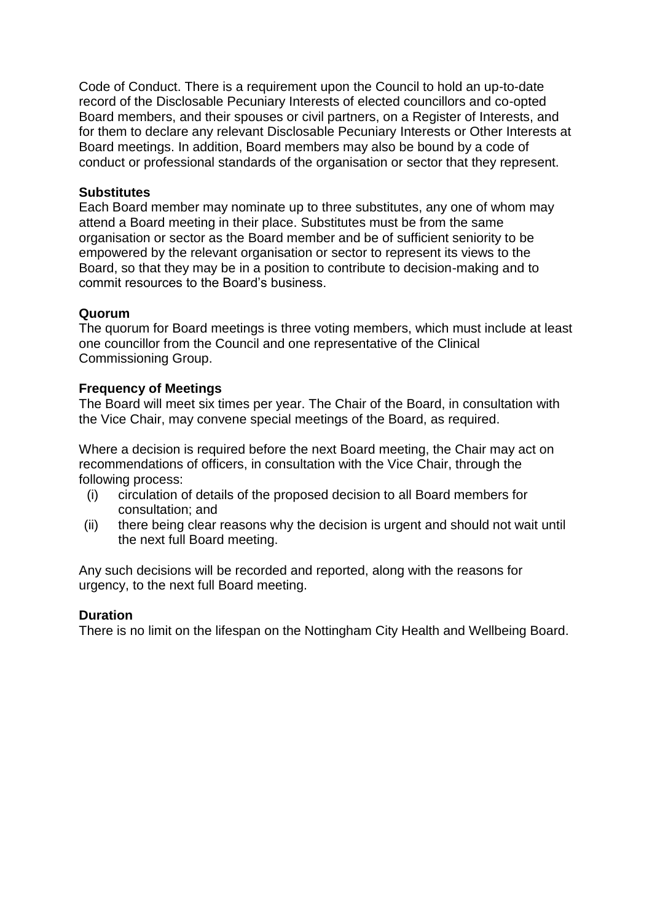Code of Conduct. There is a requirement upon the Council to hold an up-to-date record of the Disclosable Pecuniary Interests of elected councillors and co-opted Board members, and their spouses or civil partners, on a Register of Interests, and for them to declare any relevant Disclosable Pecuniary Interests or Other Interests at Board meetings. In addition, Board members may also be bound by a code of conduct or professional standards of the organisation or sector that they represent.

## **Substitutes**

Each Board member may nominate up to three substitutes, any one of whom may attend a Board meeting in their place. Substitutes must be from the same organisation or sector as the Board member and be of sufficient seniority to be empowered by the relevant organisation or sector to represent its views to the Board, so that they may be in a position to contribute to decision-making and to commit resources to the Board's business.

## **Quorum**

The quorum for Board meetings is three voting members, which must include at least one councillor from the Council and one representative of the Clinical Commissioning Group.

## **Frequency of Meetings**

The Board will meet six times per year. The Chair of the Board, in consultation with the Vice Chair, may convene special meetings of the Board, as required.

Where a decision is required before the next Board meeting, the Chair may act on recommendations of officers, in consultation with the Vice Chair, through the following process:

- (i) circulation of details of the proposed decision to all Board members for consultation; and
- (ii) there being clear reasons why the decision is urgent and should not wait until the next full Board meeting.

Any such decisions will be recorded and reported, along with the reasons for urgency, to the next full Board meeting.

## **Duration**

There is no limit on the lifespan on the Nottingham City Health and Wellbeing Board.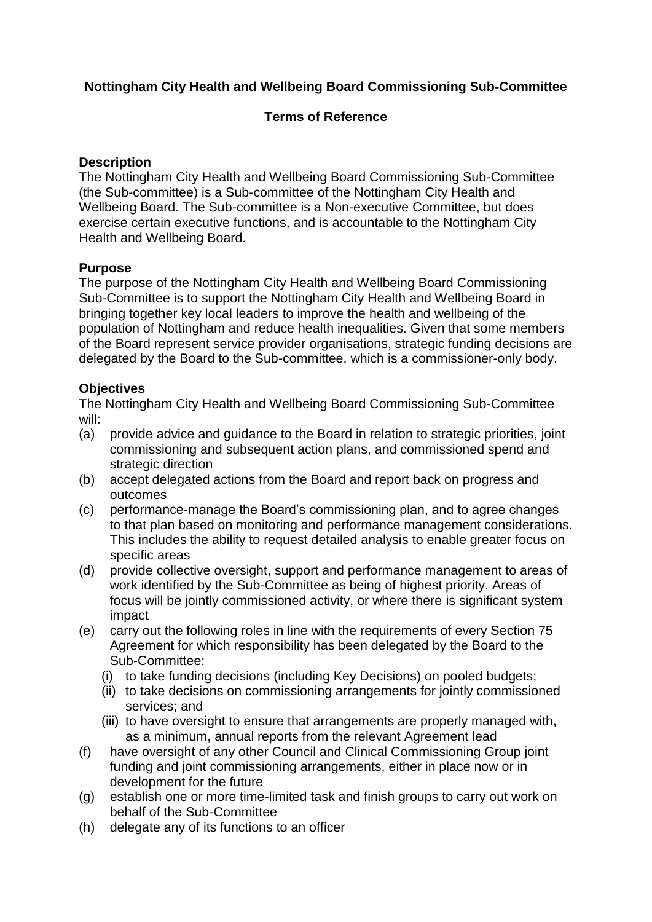# **Nottingham City Health and Wellbeing Board Commissioning Sub-Committee**

# **Terms of Reference**

## **Description**

The Nottingham City Health and Wellbeing Board Commissioning Sub-Committee (the Sub-committee) is a Sub-committee of the Nottingham City Health and Wellbeing Board. The Sub-committee is a Non-executive Committee, but does exercise certain executive functions, and is accountable to the Nottingham City Health and Wellbeing Board.

## **Purpose**

The purpose of the Nottingham City Health and Wellbeing Board Commissioning Sub-Committee is to support the Nottingham City Health and Wellbeing Board in bringing together key local leaders to improve the health and wellbeing of the population of Nottingham and reduce health inequalities. Given that some members of the Board represent service provider organisations, strategic funding decisions are delegated by the Board to the Sub-committee, which is a commissioner-only body.

## **Objectives**

The Nottingham City Health and Wellbeing Board Commissioning Sub-Committee will:

- (a) provide advice and guidance to the Board in relation to strategic priorities, joint commissioning and subsequent action plans, and commissioned spend and strategic direction
- (b) accept delegated actions from the Board and report back on progress and outcomes
- (c) performance-manage the Board's commissioning plan, and to agree changes to that plan based on monitoring and performance management considerations. This includes the ability to request detailed analysis to enable greater focus on specific areas
- (d) provide collective oversight, support and performance management to areas of work identified by the Sub-Committee as being of highest priority. Areas of focus will be jointly commissioned activity, or where there is significant system impact
- (e) carry out the following roles in line with the requirements of every Section 75 Agreement for which responsibility has been delegated by the Board to the Sub-Committee:
	- (i) to take funding decisions (including Key Decisions) on pooled budgets;
	- (ii) to take decisions on commissioning arrangements for jointly commissioned services; and
	- (iii) to have oversight to ensure that arrangements are properly managed with, as a minimum, annual reports from the relevant Agreement lead
- (f) have oversight of any other Council and Clinical Commissioning Group joint funding and joint commissioning arrangements, either in place now or in development for the future
- (g) establish one or more time-limited task and finish groups to carry out work on behalf of the Sub-Committee
- (h) delegate any of its functions to an officer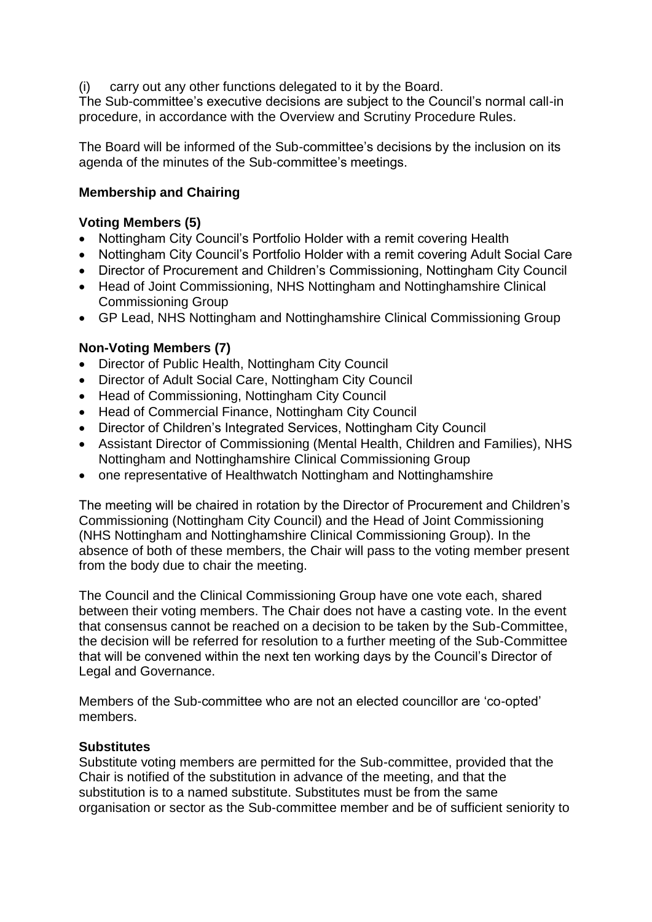(i) carry out any other functions delegated to it by the Board.

The Sub-committee's executive decisions are subject to the Council's normal call-in procedure, in accordance with the Overview and Scrutiny Procedure Rules.

The Board will be informed of the Sub-committee's decisions by the inclusion on its agenda of the minutes of the Sub-committee's meetings.

# **Membership and Chairing**

# **Voting Members (5)**

- Nottingham City Council's Portfolio Holder with a remit covering Health
- Nottingham City Council's Portfolio Holder with a remit covering Adult Social Care
- Director of Procurement and Children's Commissioning, Nottingham City Council
- Head of Joint Commissioning, NHS Nottingham and Nottinghamshire Clinical Commissioning Group
- GP Lead, NHS Nottingham and Nottinghamshire Clinical Commissioning Group

## **Non-Voting Members (7)**

- Director of Public Health, Nottingham City Council
- Director of Adult Social Care, Nottingham City Council
- Head of Commissioning, Nottingham City Council
- Head of Commercial Finance, Nottingham City Council
- Director of Children's Integrated Services, Nottingham City Council
- Assistant Director of Commissioning (Mental Health, Children and Families), NHS Nottingham and Nottinghamshire Clinical Commissioning Group
- one representative of Healthwatch Nottingham and Nottinghamshire

The meeting will be chaired in rotation by the Director of Procurement and Children's Commissioning (Nottingham City Council) and the Head of Joint Commissioning (NHS Nottingham and Nottinghamshire Clinical Commissioning Group). In the absence of both of these members, the Chair will pass to the voting member present from the body due to chair the meeting.

The Council and the Clinical Commissioning Group have one vote each, shared between their voting members. The Chair does not have a casting vote. In the event that consensus cannot be reached on a decision to be taken by the Sub-Committee, the decision will be referred for resolution to a further meeting of the Sub-Committee that will be convened within the next ten working days by the Council's Director of Legal and Governance.

Members of the Sub-committee who are not an elected councillor are 'co-opted' members.

## **Substitutes**

Substitute voting members are permitted for the Sub-committee, provided that the Chair is notified of the substitution in advance of the meeting, and that the substitution is to a named substitute. Substitutes must be from the same organisation or sector as the Sub-committee member and be of sufficient seniority to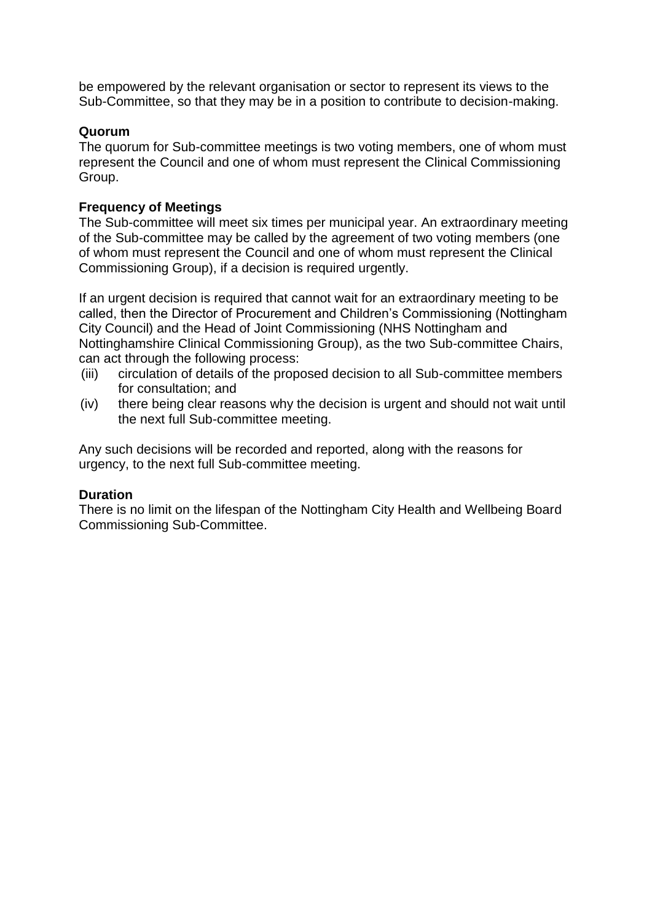be empowered by the relevant organisation or sector to represent its views to the Sub-Committee, so that they may be in a position to contribute to decision-making.

## **Quorum**

The quorum for Sub-committee meetings is two voting members, one of whom must represent the Council and one of whom must represent the Clinical Commissioning Group.

# **Frequency of Meetings**

The Sub-committee will meet six times per municipal year. An extraordinary meeting of the Sub-committee may be called by the agreement of two voting members (one of whom must represent the Council and one of whom must represent the Clinical Commissioning Group), if a decision is required urgently.

If an urgent decision is required that cannot wait for an extraordinary meeting to be called, then the Director of Procurement and Children's Commissioning (Nottingham City Council) and the Head of Joint Commissioning (NHS Nottingham and Nottinghamshire Clinical Commissioning Group), as the two Sub-committee Chairs, can act through the following process:

- (iii) circulation of details of the proposed decision to all Sub-committee members for consultation; and
- (iv) there being clear reasons why the decision is urgent and should not wait until the next full Sub-committee meeting.

Any such decisions will be recorded and reported, along with the reasons for urgency, to the next full Sub-committee meeting.

## **Duration**

There is no limit on the lifespan of the Nottingham City Health and Wellbeing Board Commissioning Sub-Committee.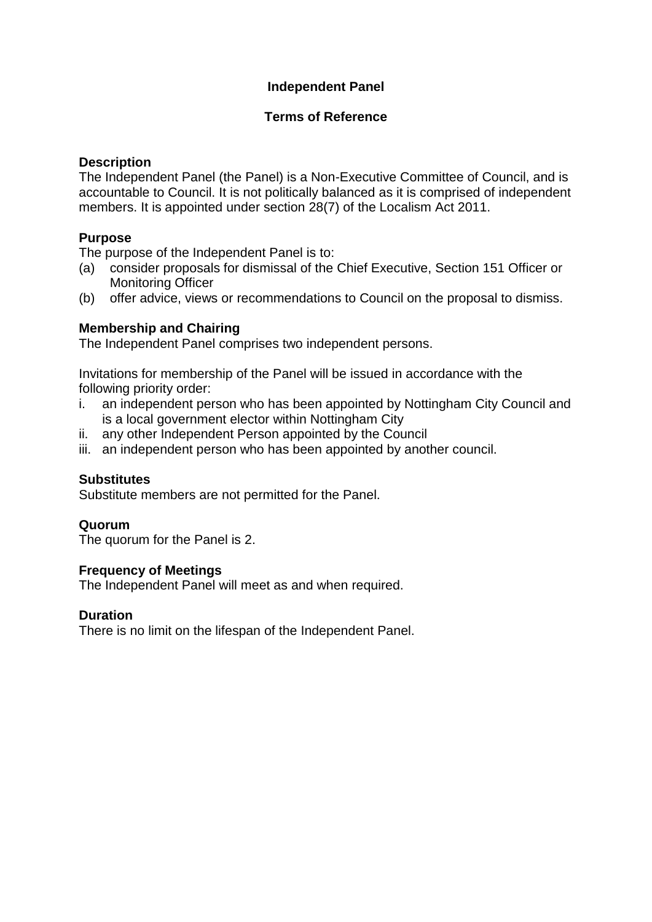# **Independent Panel**

## **Terms of Reference**

## **Description**

The Independent Panel (the Panel) is a Non-Executive Committee of Council, and is accountable to Council. It is not politically balanced as it is comprised of independent members. It is appointed under section 28(7) of the Localism Act 2011.

# **Purpose**

The purpose of the Independent Panel is to:

- (a) consider proposals for dismissal of the Chief Executive, Section 151 Officer or Monitoring Officer
- (b) offer advice, views or recommendations to Council on the proposal to dismiss.

## **Membership and Chairing**

The Independent Panel comprises two independent persons.

Invitations for membership of the Panel will be issued in accordance with the following priority order:

- i. an independent person who has been appointed by Nottingham City Council and is a local government elector within Nottingham City
- ii. any other Independent Person appointed by the Council
- iii. an independent person who has been appointed by another council.

## **Substitutes**

Substitute members are not permitted for the Panel.

#### **Quorum**

The quorum for the Panel is 2.

## **Frequency of Meetings**

The Independent Panel will meet as and when required.

## **Duration**

There is no limit on the lifespan of the Independent Panel.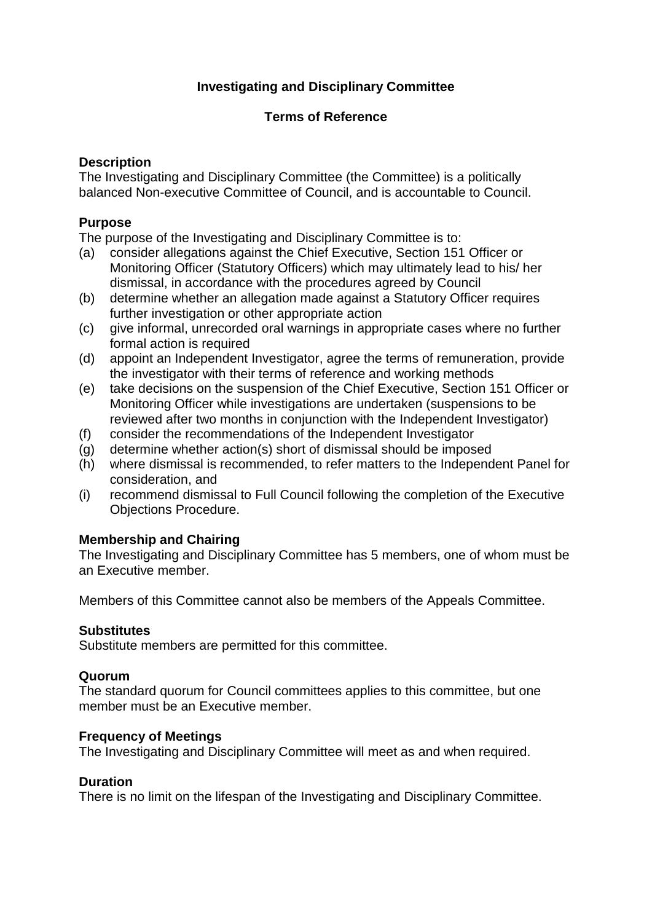# **Investigating and Disciplinary Committee**

## **Terms of Reference**

## **Description**

The Investigating and Disciplinary Committee (the Committee) is a politically balanced Non-executive Committee of Council, and is accountable to Council.

# **Purpose**

The purpose of the Investigating and Disciplinary Committee is to:

- (a) consider allegations against the Chief Executive, Section 151 Officer or Monitoring Officer (Statutory Officers) which may ultimately lead to his/ her dismissal, in accordance with the procedures agreed by Council
- (b) determine whether an allegation made against a Statutory Officer requires further investigation or other appropriate action
- (c) give informal, unrecorded oral warnings in appropriate cases where no further formal action is required
- (d) appoint an Independent Investigator, agree the terms of remuneration, provide the investigator with their terms of reference and working methods
- (e) take decisions on the suspension of the Chief Executive, Section 151 Officer or Monitoring Officer while investigations are undertaken (suspensions to be reviewed after two months in conjunction with the Independent Investigator)
- (f) consider the recommendations of the Independent Investigator
- (g) determine whether action(s) short of dismissal should be imposed
- (h) where dismissal is recommended, to refer matters to the Independent Panel for consideration, and
- (i) recommend dismissal to Full Council following the completion of the Executive Objections Procedure.

# **Membership and Chairing**

The Investigating and Disciplinary Committee has 5 members, one of whom must be an Executive member.

Members of this Committee cannot also be members of the Appeals Committee.

## **Substitutes**

Substitute members are permitted for this committee.

## **Quorum**

The standard quorum for Council committees applies to this committee, but one member must be an Executive member.

## **Frequency of Meetings**

The Investigating and Disciplinary Committee will meet as and when required.

## **Duration**

There is no limit on the lifespan of the Investigating and Disciplinary Committee.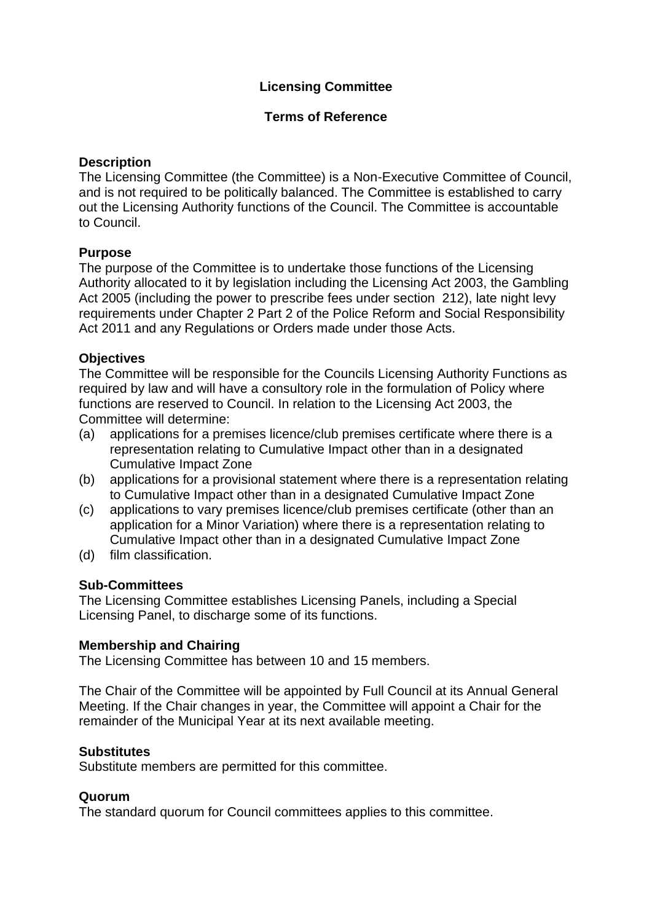# **Licensing Committee**

## **Terms of Reference**

## **Description**

The Licensing Committee (the Committee) is a Non-Executive Committee of Council, and is not required to be politically balanced. The Committee is established to carry out the Licensing Authority functions of the Council. The Committee is accountable to Council.

## **Purpose**

The purpose of the Committee is to undertake those functions of the Licensing Authority allocated to it by legislation including the Licensing Act 2003, the Gambling Act 2005 (including the power to prescribe fees under section 212), late night levy requirements under Chapter 2 Part 2 of the Police Reform and Social Responsibility Act 2011 and any Regulations or Orders made under those Acts.

## **Objectives**

The Committee will be responsible for the Councils Licensing Authority Functions as required by law and will have a consultory role in the formulation of Policy where functions are reserved to Council. In relation to the Licensing Act 2003, the Committee will determine:

- (a) applications for a premises licence/club premises certificate where there is a representation relating to Cumulative Impact other than in a designated Cumulative Impact Zone
- (b) applications for a provisional statement where there is a representation relating to Cumulative Impact other than in a designated Cumulative Impact Zone
- (c) applications to vary premises licence/club premises certificate (other than an application for a Minor Variation) where there is a representation relating to Cumulative Impact other than in a designated Cumulative Impact Zone
- (d) film classification.

# **Sub-Committees**

The Licensing Committee establishes Licensing Panels, including a Special Licensing Panel, to discharge some of its functions.

## **Membership and Chairing**

The Licensing Committee has between 10 and 15 members.

The Chair of the Committee will be appointed by Full Council at its Annual General Meeting. If the Chair changes in year, the Committee will appoint a Chair for the remainder of the Municipal Year at its next available meeting.

## **Substitutes**

Substitute members are permitted for this committee.

## **Quorum**

The standard quorum for Council committees applies to this committee.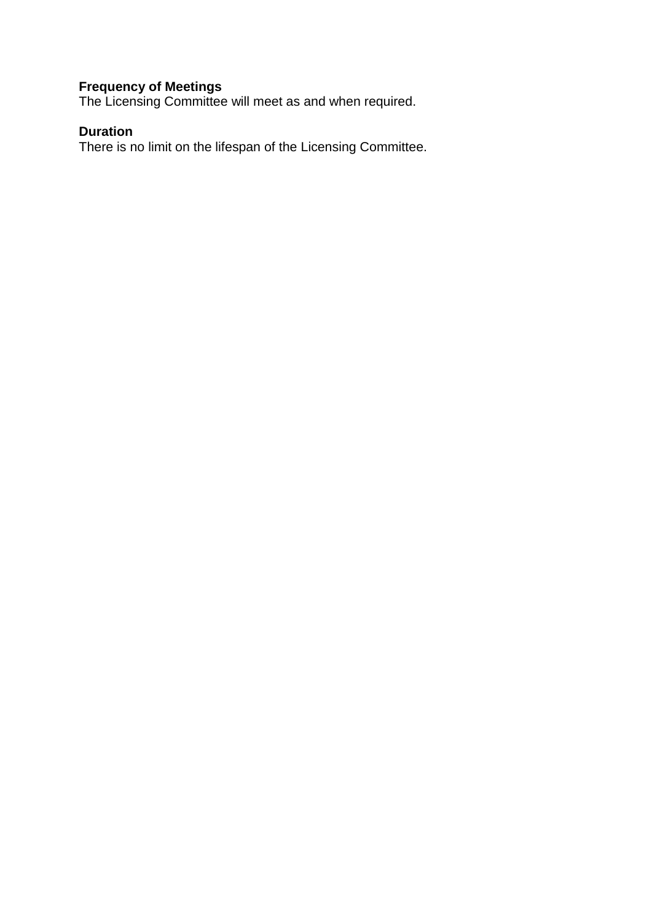# **Frequency of Meetings**

The Licensing Committee will meet as and when required.

# **Duration**

There is no limit on the lifespan of the Licensing Committee.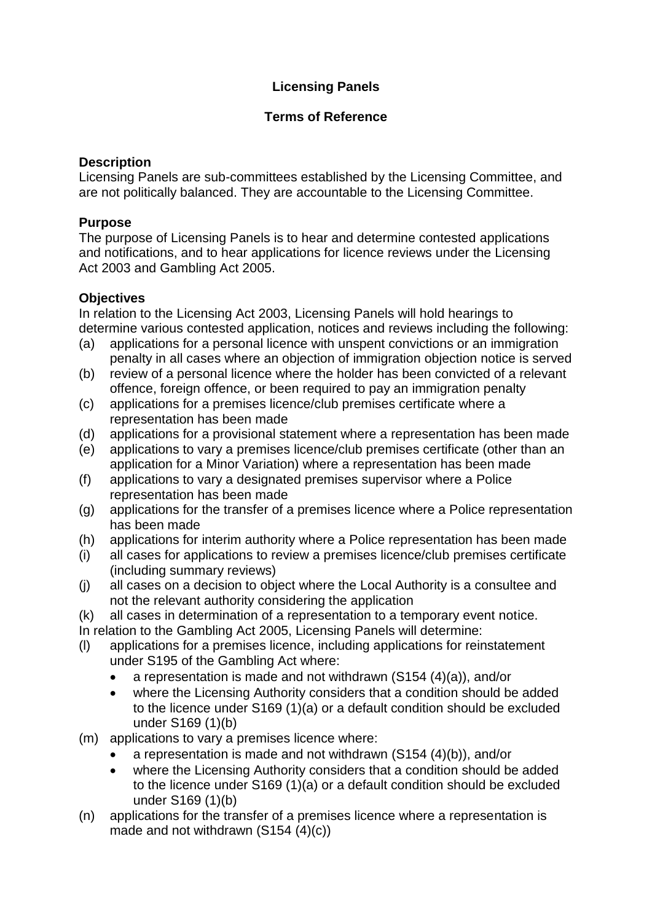# **Licensing Panels**

## **Terms of Reference**

# **Description**

Licensing Panels are sub-committees established by the Licensing Committee, and are not politically balanced. They are accountable to the Licensing Committee.

# **Purpose**

The purpose of Licensing Panels is to hear and determine contested applications and notifications, and to hear applications for licence reviews under the Licensing Act 2003 and Gambling Act 2005.

## **Objectives**

In relation to the Licensing Act 2003, Licensing Panels will hold hearings to determine various contested application, notices and reviews including the following:

- (a) applications for a personal licence with unspent convictions or an immigration penalty in all cases where an objection of immigration objection notice is served
- (b) review of a personal licence where the holder has been convicted of a relevant offence, foreign offence, or been required to pay an immigration penalty
- (c) applications for a premises licence/club premises certificate where a representation has been made
- (d) applications for a provisional statement where a representation has been made
- (e) applications to vary a premises licence/club premises certificate (other than an application for a Minor Variation) where a representation has been made
- (f) applications to vary a designated premises supervisor where a Police representation has been made
- (g) applications for the transfer of a premises licence where a Police representation has been made
- (h) applications for interim authority where a Police representation has been made
- (i) all cases for applications to review a premises licence/club premises certificate (including summary reviews)
- (j) all cases on a decision to object where the Local Authority is a consultee and not the relevant authority considering the application
- (k) all cases in determination of a representation to a temporary event notice.
- In relation to the Gambling Act 2005, Licensing Panels will determine:
- (l) applications for a premises licence, including applications for reinstatement under S195 of the Gambling Act where:
	- a representation is made and not withdrawn (S154 (4)(a)), and/or
	- where the Licensing Authority considers that a condition should be added to the licence under S169 (1)(a) or a default condition should be excluded under S169 (1)(b)
- (m) applications to vary a premises licence where:
	- a representation is made and not withdrawn (S154 (4)(b)), and/or
	- where the Licensing Authority considers that a condition should be added to the licence under S169 (1)(a) or a default condition should be excluded under S169 (1)(b)
- (n) applications for the transfer of a premises licence where a representation is made and not withdrawn (S154 (4)(c))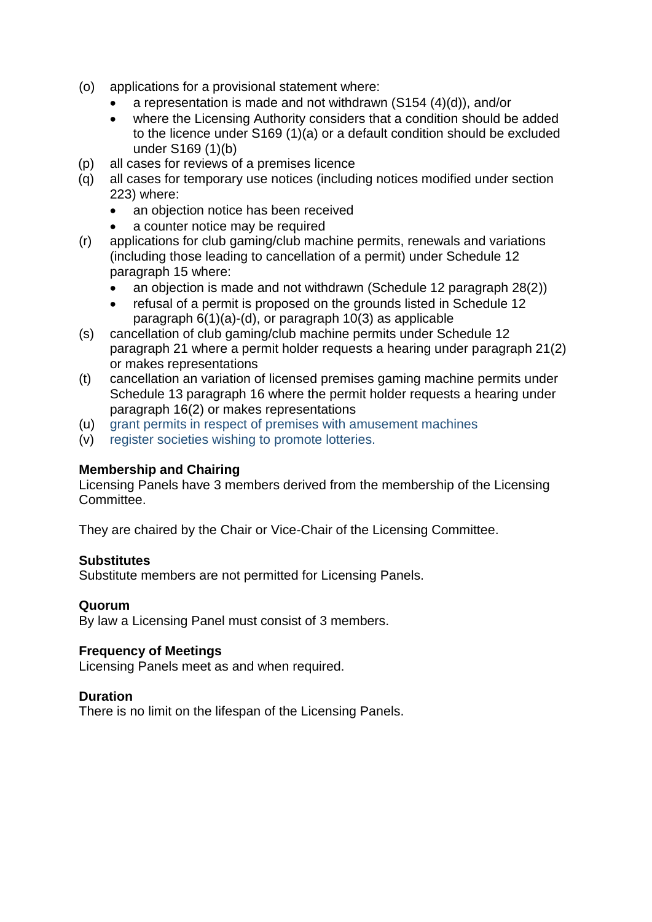- (o) applications for a provisional statement where:
	- a representation is made and not withdrawn (S154 (4)(d)), and/or
	- where the Licensing Authority considers that a condition should be added to the licence under S169 (1)(a) or a default condition should be excluded under S169 (1)(b)
- (p) all cases for reviews of a premises licence
- (q) all cases for temporary use notices (including notices modified under section 223) where:
	- an objection notice has been received
	- a counter notice may be required
- (r) applications for club gaming/club machine permits, renewals and variations (including those leading to cancellation of a permit) under Schedule 12 paragraph 15 where:
	- an objection is made and not withdrawn (Schedule 12 paragraph 28(2))
	- refusal of a permit is proposed on the grounds listed in Schedule 12 paragraph 6(1)(a)-(d), or paragraph 10(3) as applicable
- (s) cancellation of club gaming/club machine permits under Schedule 12 paragraph 21 where a permit holder requests a hearing under paragraph 21(2) or makes representations
- (t) cancellation an variation of licensed premises gaming machine permits under Schedule 13 paragraph 16 where the permit holder requests a hearing under paragraph 16(2) or makes representations
- (u) grant permits in respect of premises with amusement machines
- (v) register societies wishing to promote lotteries.

## **Membership and Chairing**

Licensing Panels have 3 members derived from the membership of the Licensing **Committee** 

They are chaired by the Chair or Vice-Chair of the Licensing Committee.

## **Substitutes**

Substitute members are not permitted for Licensing Panels.

## **Quorum**

By law a Licensing Panel must consist of 3 members.

# **Frequency of Meetings**

Licensing Panels meet as and when required.

## **Duration**

There is no limit on the lifespan of the Licensing Panels.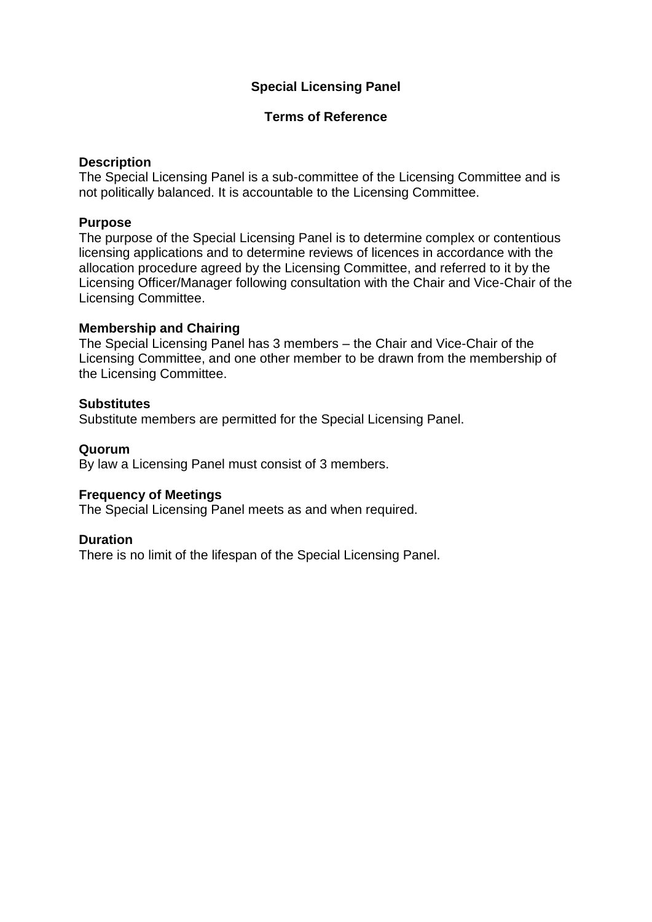# **Special Licensing Panel**

### **Terms of Reference**

### **Description**

The Special Licensing Panel is a sub-committee of the Licensing Committee and is not politically balanced. It is accountable to the Licensing Committee.

### **Purpose**

The purpose of the Special Licensing Panel is to determine complex or contentious licensing applications and to determine reviews of licences in accordance with the allocation procedure agreed by the Licensing Committee, and referred to it by the Licensing Officer/Manager following consultation with the Chair and Vice-Chair of the Licensing Committee.

### **Membership and Chairing**

The Special Licensing Panel has 3 members – the Chair and Vice-Chair of the Licensing Committee, and one other member to be drawn from the membership of the Licensing Committee.

### **Substitutes**

Substitute members are permitted for the Special Licensing Panel.

### **Quorum**

By law a Licensing Panel must consist of 3 members.

## **Frequency of Meetings**

The Special Licensing Panel meets as and when required.

## **Duration**

There is no limit of the lifespan of the Special Licensing Panel.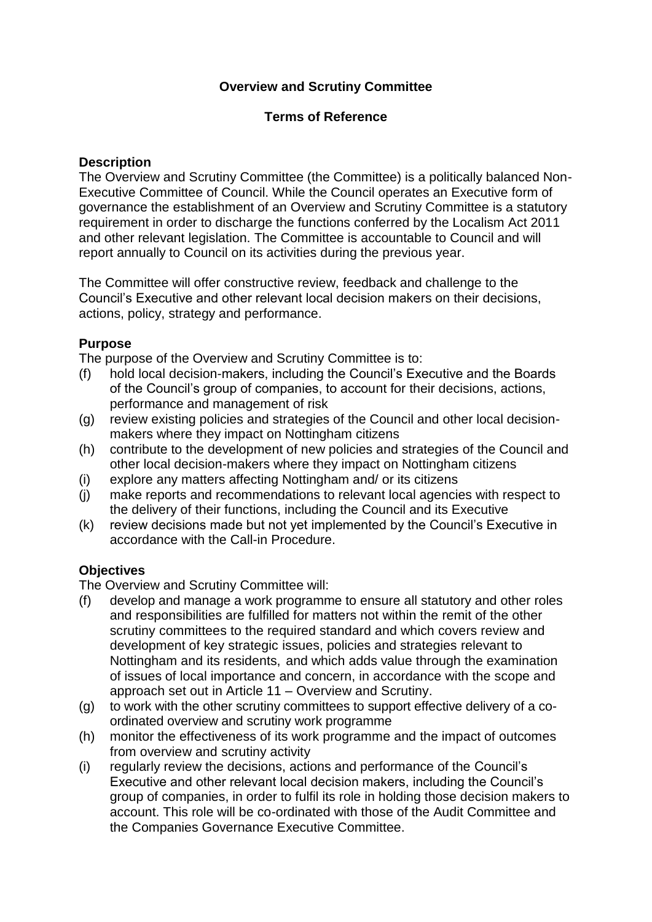# **Overview and Scrutiny Committee**

### **Terms of Reference**

### **Description**

The Overview and Scrutiny Committee (the Committee) is a politically balanced Non-Executive Committee of Council. While the Council operates an Executive form of governance the establishment of an Overview and Scrutiny Committee is a statutory requirement in order to discharge the functions conferred by the Localism Act 2011 and other relevant legislation. The Committee is accountable to Council and will report annually to Council on its activities during the previous year.

The Committee will offer constructive review, feedback and challenge to the Council's Executive and other relevant local decision makers on their decisions, actions, policy, strategy and performance.

## **Purpose**

The purpose of the Overview and Scrutiny Committee is to:

- (f) hold local decision-makers, including the Council's Executive and the Boards of the Council's group of companies, to account for their decisions, actions, performance and management of risk
- (g) review existing policies and strategies of the Council and other local decisionmakers where they impact on Nottingham citizens
- (h) contribute to the development of new policies and strategies of the Council and other local decision-makers where they impact on Nottingham citizens
- (i) explore any matters affecting Nottingham and/ or its citizens
- (j) make reports and recommendations to relevant local agencies with respect to the delivery of their functions, including the Council and its Executive
- (k) review decisions made but not yet implemented by the Council's Executive in accordance with the Call-in Procedure.

## **Objectives**

The Overview and Scrutiny Committee will:

- (f) develop and manage a work programme to ensure all statutory and other roles and responsibilities are fulfilled for matters not within the remit of the other scrutiny committees to the required standard and which covers review and development of key strategic issues, policies and strategies relevant to Nottingham and its residents, and which adds value through the examination of issues of local importance and concern, in accordance with the scope and approach set out in Article 11 – Overview and Scrutiny.
- (g) to work with the other scrutiny committees to support effective delivery of a coordinated overview and scrutiny work programme
- (h) monitor the effectiveness of its work programme and the impact of outcomes from overview and scrutiny activity
- (i) regularly review the decisions, actions and performance of the Council's Executive and other relevant local decision makers, including the Council's group of companies, in order to fulfil its role in holding those decision makers to account. This role will be co-ordinated with those of the Audit Committee and the Companies Governance Executive Committee.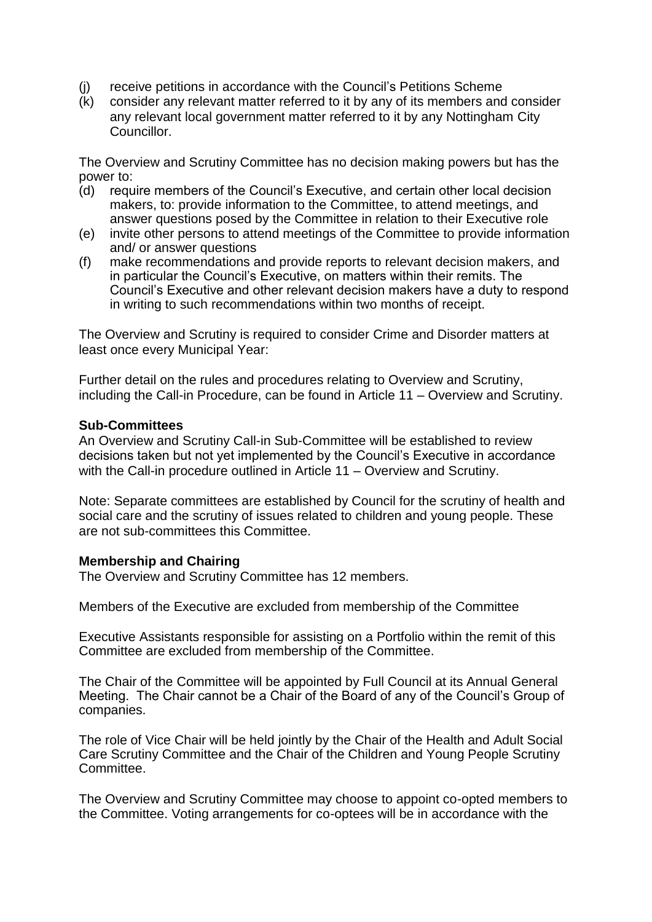- (j) receive petitions in accordance with the Council's Petitions Scheme
- (k) consider any relevant matter referred to it by any of its members and consider any relevant local government matter referred to it by any Nottingham City Councillor.

The Overview and Scrutiny Committee has no decision making powers but has the power to:

- (d) require members of the Council's Executive, and certain other local decision makers, to: provide information to the Committee, to attend meetings, and answer questions posed by the Committee in relation to their Executive role
- (e) invite other persons to attend meetings of the Committee to provide information and/ or answer questions
- (f) make recommendations and provide reports to relevant decision makers, and in particular the Council's Executive, on matters within their remits. The Council's Executive and other relevant decision makers have a duty to respond in writing to such recommendations within two months of receipt.

The Overview and Scrutiny is required to consider Crime and Disorder matters at least once every Municipal Year:

Further detail on the rules and procedures relating to Overview and Scrutiny, including the Call-in Procedure, can be found in Article 11 – Overview and Scrutiny.

#### **Sub-Committees**

An Overview and Scrutiny Call-in Sub-Committee will be established to review decisions taken but not yet implemented by the Council's Executive in accordance with the Call-in procedure outlined in Article 11 – Overview and Scrutiny.

Note: Separate committees are established by Council for the scrutiny of health and social care and the scrutiny of issues related to children and young people. These are not sub-committees this Committee.

#### **Membership and Chairing**

The Overview and Scrutiny Committee has 12 members.

Members of the Executive are excluded from membership of the Committee

Executive Assistants responsible for assisting on a Portfolio within the remit of this Committee are excluded from membership of the Committee.

The Chair of the Committee will be appointed by Full Council at its Annual General Meeting. The Chair cannot be a Chair of the Board of any of the Council's Group of companies.

The role of Vice Chair will be held jointly by the Chair of the Health and Adult Social Care Scrutiny Committee and the Chair of the Children and Young People Scrutiny Committee.

The Overview and Scrutiny Committee may choose to appoint co-opted members to the Committee. Voting arrangements for co-optees will be in accordance with the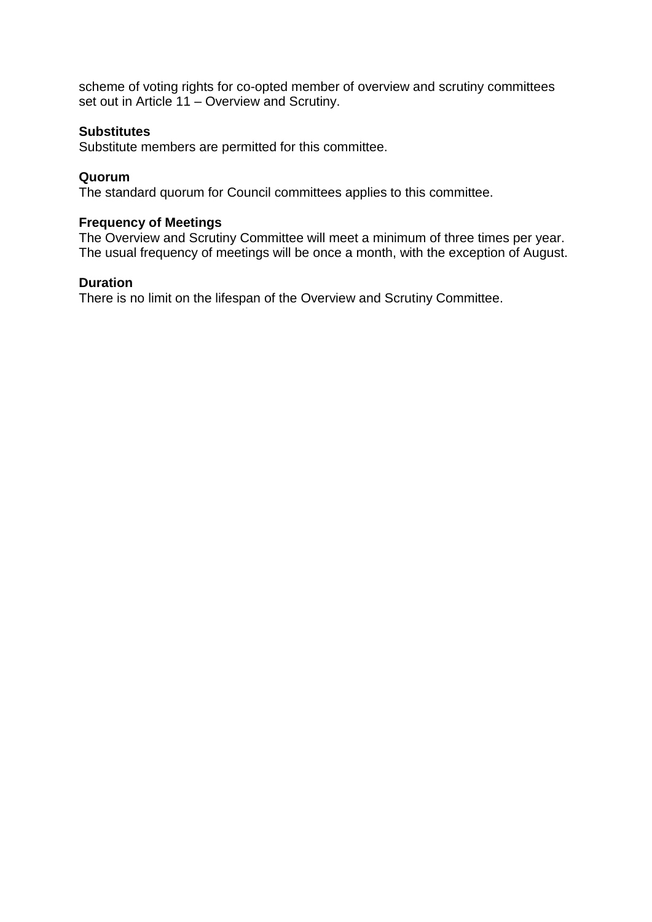scheme of voting rights for co-opted member of overview and scrutiny committees set out in Article 11 – Overview and Scrutiny.

## **Substitutes**

Substitute members are permitted for this committee.

### **Quorum**

The standard quorum for Council committees applies to this committee.

### **Frequency of Meetings**

The Overview and Scrutiny Committee will meet a minimum of three times per year. The usual frequency of meetings will be once a month, with the exception of August.

### **Duration**

There is no limit on the lifespan of the Overview and Scrutiny Committee.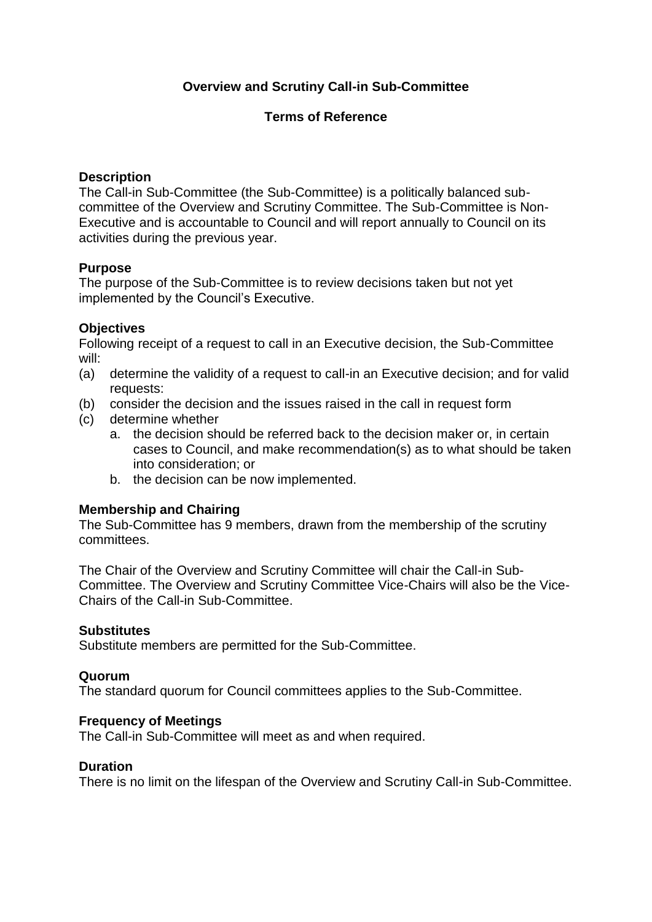# **Overview and Scrutiny Call-in Sub-Committee**

## **Terms of Reference**

### **Description**

The Call-in Sub-Committee (the Sub-Committee) is a politically balanced subcommittee of the Overview and Scrutiny Committee. The Sub-Committee is Non-Executive and is accountable to Council and will report annually to Council on its activities during the previous year.

### **Purpose**

The purpose of the Sub-Committee is to review decisions taken but not yet implemented by the Council's Executive.

### **Objectives**

Following receipt of a request to call in an Executive decision, the Sub-Committee will:

- (a) determine the validity of a request to call-in an Executive decision; and for valid requests:
- (b) consider the decision and the issues raised in the call in request form
- (c) determine whether
	- a. the decision should be referred back to the decision maker or, in certain cases to Council, and make recommendation(s) as to what should be taken into consideration; or
	- b. the decision can be now implemented.

## **Membership and Chairing**

The Sub-Committee has 9 members, drawn from the membership of the scrutiny committees.

The Chair of the Overview and Scrutiny Committee will chair the Call-in Sub-Committee. The Overview and Scrutiny Committee Vice-Chairs will also be the Vice-Chairs of the Call-in Sub-Committee.

### **Substitutes**

Substitute members are permitted for the Sub-Committee.

#### **Quorum**

The standard quorum for Council committees applies to the Sub-Committee.

#### **Frequency of Meetings**

The Call-in Sub-Committee will meet as and when required.

#### **Duration**

There is no limit on the lifespan of the Overview and Scrutiny Call-in Sub-Committee.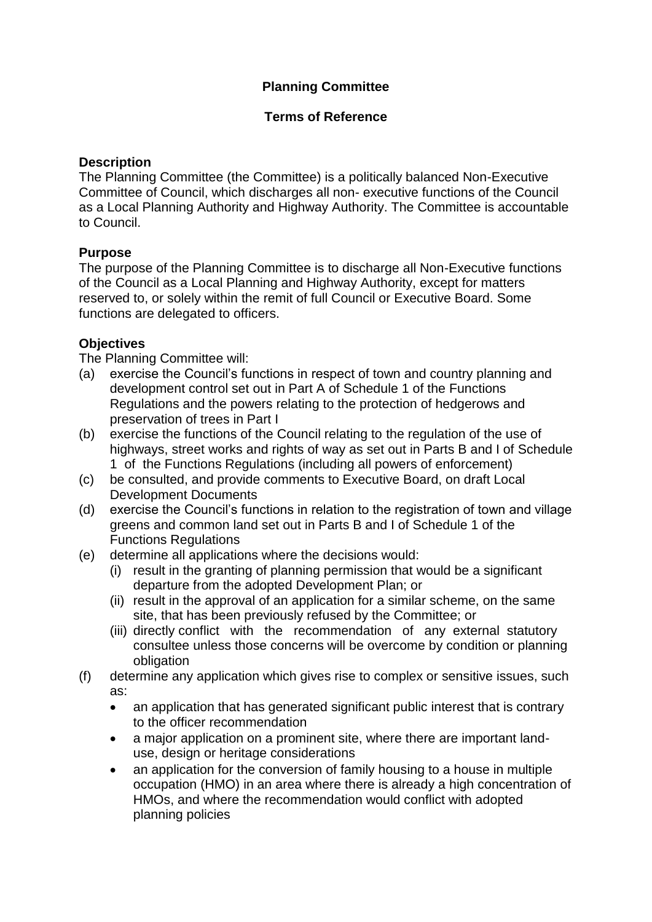# **Planning Committee**

## **Terms of Reference**

## **Description**

The Planning Committee (the Committee) is a politically balanced Non-Executive Committee of Council, which discharges all non- executive functions of the Council as a Local Planning Authority and Highway Authority. The Committee is accountable to Council.

# **Purpose**

The purpose of the Planning Committee is to discharge all Non-Executive functions of the Council as a Local Planning and Highway Authority, except for matters reserved to, or solely within the remit of full Council or Executive Board. Some functions are delegated to officers.

# **Objectives**

The Planning Committee will:

- (a) exercise the Council's functions in respect of town and country planning and development control set out in Part A of Schedule 1 of the Functions Regulations and the powers relating to the protection of hedgerows and preservation of trees in Part I
- (b) exercise the functions of the Council relating to the regulation of the use of highways, street works and rights of way as set out in Parts B and I of Schedule 1 of the Functions Regulations (including all powers of enforcement)
- (c) be consulted, and provide comments to Executive Board, on draft Local Development Documents
- (d) exercise the Council's functions in relation to the registration of town and village greens and common land set out in Parts B and I of Schedule 1 of the Functions Regulations
- (e) determine all applications where the decisions would:
	- (i) result in the granting of planning permission that would be a significant departure from the adopted Development Plan; or
	- (ii) result in the approval of an application for a similar scheme, on the same site, that has been previously refused by the Committee; or
	- (iii) directly conflict with the recommendation of any external statutory consultee unless those concerns will be overcome by condition or planning obligation
- (f) determine any application which gives rise to complex or sensitive issues, such as:
	- an application that has generated significant public interest that is contrary to the officer recommendation
	- a major application on a prominent site, where there are important landuse, design or heritage considerations
	- an application for the conversion of family housing to a house in multiple occupation (HMO) in an area where there is already a high concentration of HMOs, and where the recommendation would conflict with adopted planning policies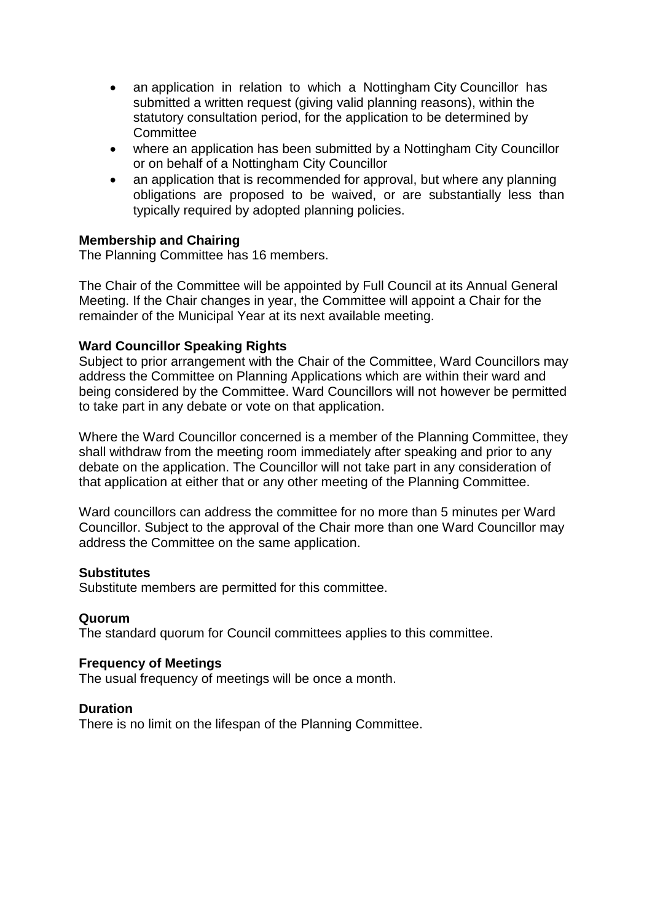- an application in relation to which a Nottingham City Councillor has submitted a written request (giving valid planning reasons), within the statutory consultation period, for the application to be determined by **Committee**
- where an application has been submitted by a Nottingham City Councillor or on behalf of a Nottingham City Councillor
- an application that is recommended for approval, but where any planning obligations are proposed to be waived, or are substantially less than typically required by adopted planning policies.

## **Membership and Chairing**

The Planning Committee has 16 members.

The Chair of the Committee will be appointed by Full Council at its Annual General Meeting. If the Chair changes in year, the Committee will appoint a Chair for the remainder of the Municipal Year at its next available meeting.

## **Ward Councillor Speaking Rights**

Subject to prior arrangement with the Chair of the Committee, Ward Councillors may address the Committee on Planning Applications which are within their ward and being considered by the Committee. Ward Councillors will not however be permitted to take part in any debate or vote on that application.

Where the Ward Councillor concerned is a member of the Planning Committee, they shall withdraw from the meeting room immediately after speaking and prior to any debate on the application. The Councillor will not take part in any consideration of that application at either that or any other meeting of the Planning Committee.

Ward councillors can address the committee for no more than 5 minutes per Ward Councillor. Subject to the approval of the Chair more than one Ward Councillor may address the Committee on the same application.

## **Substitutes**

Substitute members are permitted for this committee.

## **Quorum**

The standard quorum for Council committees applies to this committee.

## **Frequency of Meetings**

The usual frequency of meetings will be once a month.

## **Duration**

There is no limit on the lifespan of the Planning Committee.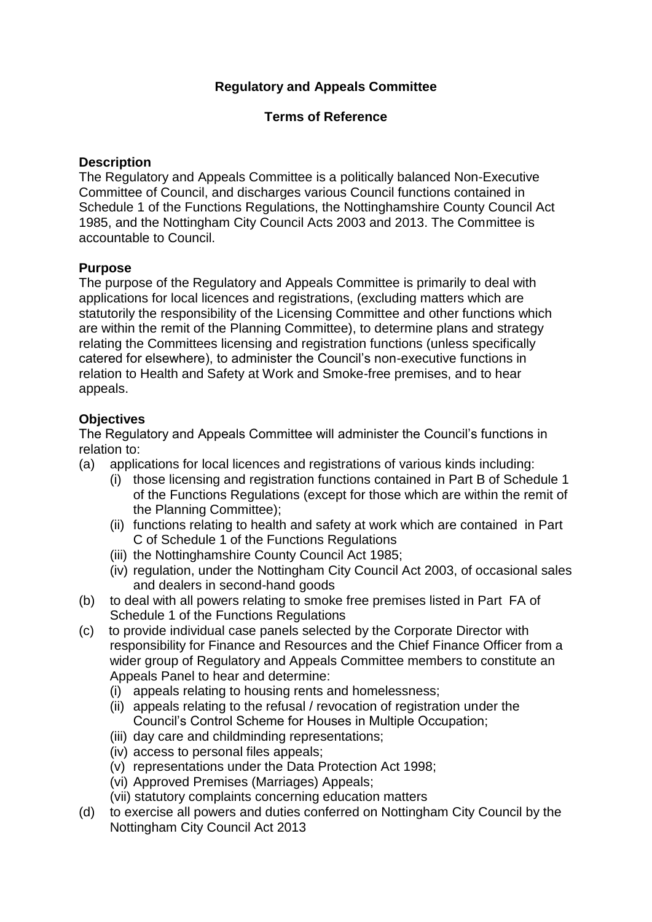# **Regulatory and Appeals Committee**

## **Terms of Reference**

## **Description**

The Regulatory and Appeals Committee is a politically balanced Non-Executive Committee of Council, and discharges various Council functions contained in Schedule 1 of the Functions Regulations, the Nottinghamshire County Council Act 1985, and the Nottingham City Council Acts 2003 and 2013. The Committee is accountable to Council.

## **Purpose**

The purpose of the Regulatory and Appeals Committee is primarily to deal with applications for local licences and registrations, (excluding matters which are statutorily the responsibility of the Licensing Committee and other functions which are within the remit of the Planning Committee), to determine plans and strategy relating the Committees licensing and registration functions (unless specifically catered for elsewhere), to administer the Council's non-executive functions in relation to Health and Safety at Work and Smoke-free premises, and to hear appeals.

## **Objectives**

The Regulatory and Appeals Committee will administer the Council's functions in relation to:

- (a) applications for local licences and registrations of various kinds including:
	- (i) those licensing and registration functions contained in Part B of Schedule 1 of the Functions Regulations (except for those which are within the remit of the Planning Committee);
	- (ii) functions relating to health and safety at work which are contained in Part C of Schedule 1 of the Functions Regulations
	- (iii) the Nottinghamshire County Council Act 1985;
	- (iv) regulation, under the Nottingham City Council Act 2003, of occasional sales and dealers in second-hand goods
- (b) to deal with all powers relating to smoke free premises listed in Part FA of Schedule 1 of the Functions Regulations
- (c) to provide individual case panels selected by the Corporate Director with responsibility for Finance and Resources and the Chief Finance Officer from a wider group of Regulatory and Appeals Committee members to constitute an Appeals Panel to hear and determine:
	- (i) appeals relating to housing rents and homelessness;
	- (ii) appeals relating to the refusal / revocation of registration under the Council's Control Scheme for Houses in Multiple Occupation;
	- (iii) day care and childminding representations;
	- (iv) access to personal files appeals;
	- (v) representations under the Data Protection Act 1998;
	- (vi) Approved Premises (Marriages) Appeals;
	- (vii) statutory complaints concerning education matters
- (d) to exercise all powers and duties conferred on Nottingham City Council by the Nottingham City Council Act 2013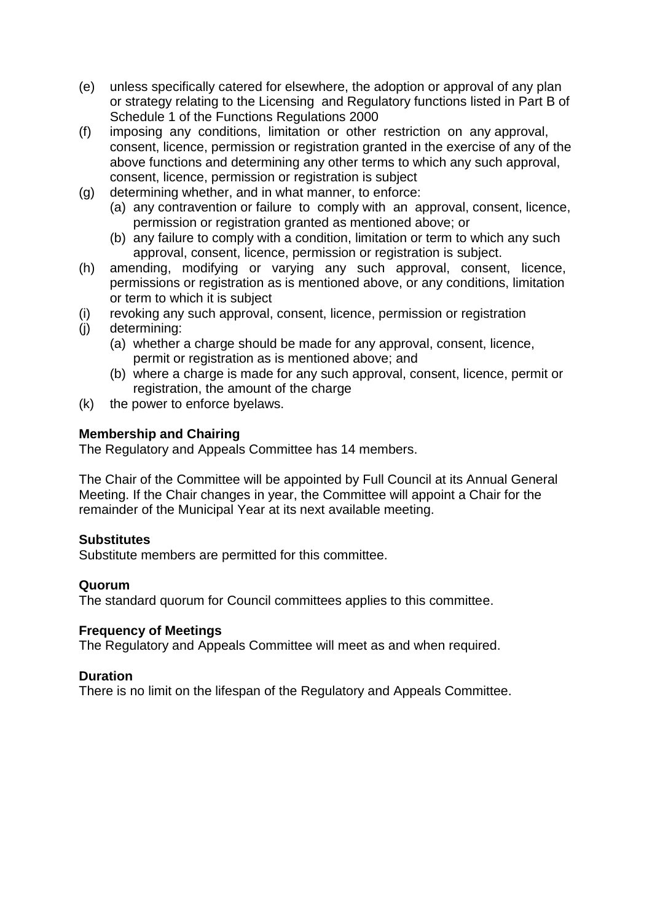- (e) unless specifically catered for elsewhere, the adoption or approval of any plan or strategy relating to the Licensing and Regulatory functions listed in Part B of Schedule 1 of the Functions Regulations 2000
- (f) imposing any conditions, limitation or other restriction on any approval, consent, licence, permission or registration granted in the exercise of any of the above functions and determining any other terms to which any such approval, consent, licence, permission or registration is subject
- (g) determining whether, and in what manner, to enforce:
	- (a) any contravention or failure to comply with an approval, consent, licence, permission or registration granted as mentioned above; or
	- (b) any failure to comply with a condition, limitation or term to which any such approval, consent, licence, permission or registration is subject.
- (h) amending, modifying or varying any such approval, consent, licence, permissions or registration as is mentioned above, or any conditions, limitation or term to which it is subject
- (i) revoking any such approval, consent, licence, permission or registration
- (j) determining:
	- (a) whether a charge should be made for any approval, consent, licence, permit or registration as is mentioned above; and
	- (b) where a charge is made for any such approval, consent, licence, permit or registration, the amount of the charge
- (k) the power to enforce byelaws.

## **Membership and Chairing**

The Regulatory and Appeals Committee has 14 members.

The Chair of the Committee will be appointed by Full Council at its Annual General Meeting. If the Chair changes in year, the Committee will appoint a Chair for the remainder of the Municipal Year at its next available meeting.

#### **Substitutes**

Substitute members are permitted for this committee.

#### **Quorum**

The standard quorum for Council committees applies to this committee.

#### **Frequency of Meetings**

The Regulatory and Appeals Committee will meet as and when required.

## **Duration**

There is no limit on the lifespan of the Regulatory and Appeals Committee.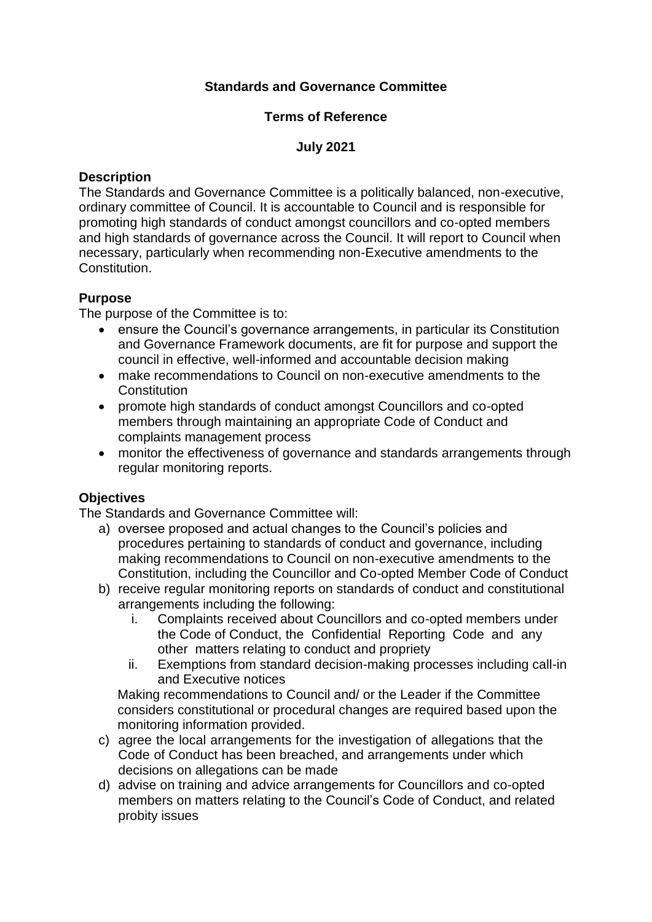# **Standards and Governance Committee**

## **Terms of Reference**

## **July 2021**

### **Description**

The Standards and Governance Committee is a politically balanced, non-executive, ordinary committee of Council. It is accountable to Council and is responsible for promoting high standards of conduct amongst councillors and co-opted members and high standards of governance across the Council. It will report to Council when necessary, particularly when recommending non-Executive amendments to the Constitution.

## **Purpose**

The purpose of the Committee is to:

- ensure the Council's governance arrangements, in particular its Constitution and Governance Framework documents, are fit for purpose and support the council in effective, well-informed and accountable decision making
- make recommendations to Council on non-executive amendments to the **Constitution**
- promote high standards of conduct amongst Councillors and co-opted members through maintaining an appropriate Code of Conduct and complaints management process
- monitor the effectiveness of governance and standards arrangements through regular monitoring reports.

## **Objectives**

The Standards and Governance Committee will:

- a) oversee proposed and actual changes to the Council's policies and procedures pertaining to standards of conduct and governance, including making recommendations to Council on non-executive amendments to the Constitution, including the Councillor and Co-opted Member Code of Conduct
- b) receive regular monitoring reports on standards of conduct and constitutional arrangements including the following:
	- i. Complaints received about Councillors and co-opted members under the Code of Conduct, the Confidential Reporting Code and any other matters relating to conduct and propriety
	- ii. Exemptions from standard decision-making processes including call-in and Executive notices

Making recommendations to Council and/ or the Leader if the Committee considers constitutional or procedural changes are required based upon the monitoring information provided.

- c) agree the local arrangements for the investigation of allegations that the Code of Conduct has been breached, and arrangements under which decisions on allegations can be made
- d) advise on training and advice arrangements for Councillors and co-opted members on matters relating to the Council's Code of Conduct, and related probity issues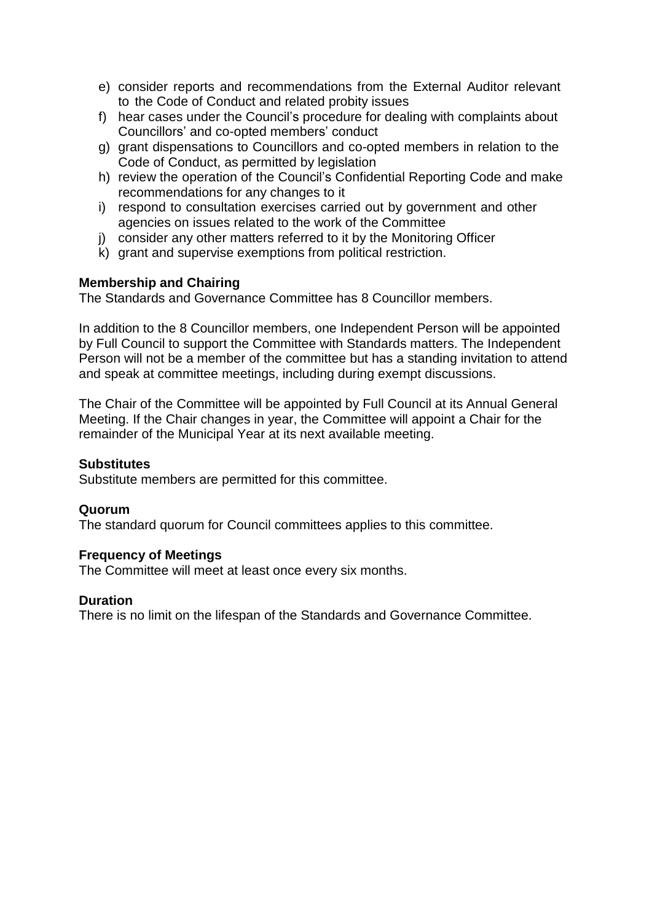- e) consider reports and recommendations from the External Auditor relevant to the Code of Conduct and related probity issues
- f) hear cases under the Council's procedure for dealing with complaints about Councillors' and co-opted members' conduct
- g) grant dispensations to Councillors and co-opted members in relation to the Code of Conduct, as permitted by legislation
- h) review the operation of the Council's Confidential Reporting Code and make recommendations for any changes to it
- i) respond to consultation exercises carried out by government and other agencies on issues related to the work of the Committee
- j) consider any other matters referred to it by the Monitoring Officer
- k) grant and supervise exemptions from political restriction.

## **Membership and Chairing**

The Standards and Governance Committee has 8 Councillor members.

In addition to the 8 Councillor members, one Independent Person will be appointed by Full Council to support the Committee with Standards matters. The Independent Person will not be a member of the committee but has a standing invitation to attend and speak at committee meetings, including during exempt discussions.

The Chair of the Committee will be appointed by Full Council at its Annual General Meeting. If the Chair changes in year, the Committee will appoint a Chair for the remainder of the Municipal Year at its next available meeting.

### **Substitutes**

Substitute members are permitted for this committee.

#### **Quorum**

The standard quorum for Council committees applies to this committee.

#### **Frequency of Meetings**

The Committee will meet at least once every six months.

#### **Duration**

There is no limit on the lifespan of the Standards and Governance Committee.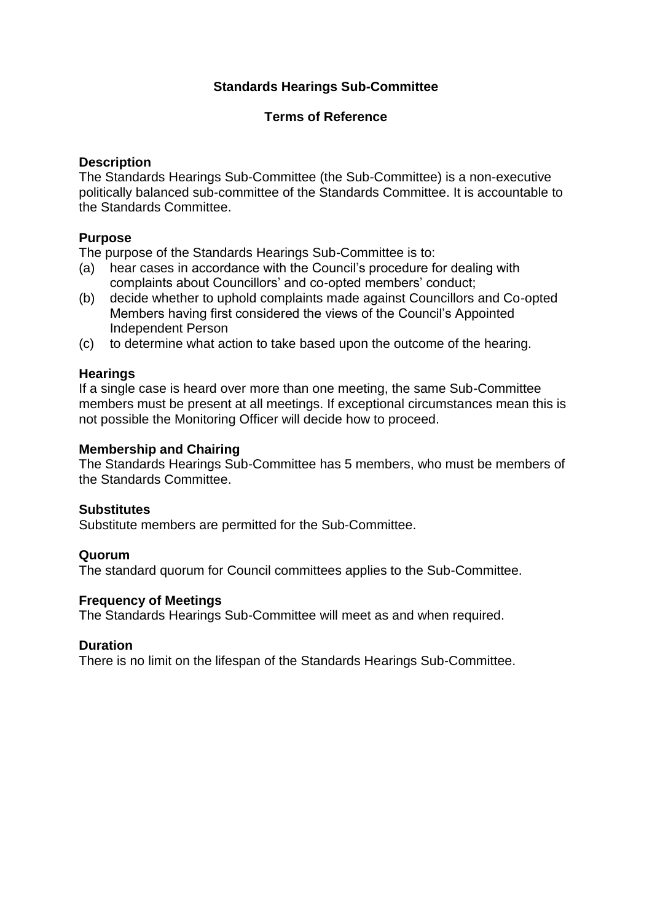## **Standards Hearings Sub-Committee**

### **Terms of Reference**

### **Description**

The Standards Hearings Sub-Committee (the Sub-Committee) is a non-executive politically balanced sub-committee of the Standards Committee. It is accountable to the Standards Committee.

## **Purpose**

The purpose of the Standards Hearings Sub-Committee is to:

- (a) hear cases in accordance with the Council's procedure for dealing with complaints about Councillors' and co-opted members' conduct;
- (b) decide whether to uphold complaints made against Councillors and Co-opted Members having first considered the views of the Council's Appointed Independent Person
- (c) to determine what action to take based upon the outcome of the hearing.

### **Hearings**

If a single case is heard over more than one meeting, the same Sub-Committee members must be present at all meetings. If exceptional circumstances mean this is not possible the Monitoring Officer will decide how to proceed.

#### **Membership and Chairing**

The Standards Hearings Sub-Committee has 5 members, who must be members of the Standards Committee.

#### **Substitutes**

Substitute members are permitted for the Sub-Committee.

## **Quorum**

The standard quorum for Council committees applies to the Sub-Committee.

#### **Frequency of Meetings**

The Standards Hearings Sub-Committee will meet as and when required.

#### **Duration**

There is no limit on the lifespan of the Standards Hearings Sub-Committee.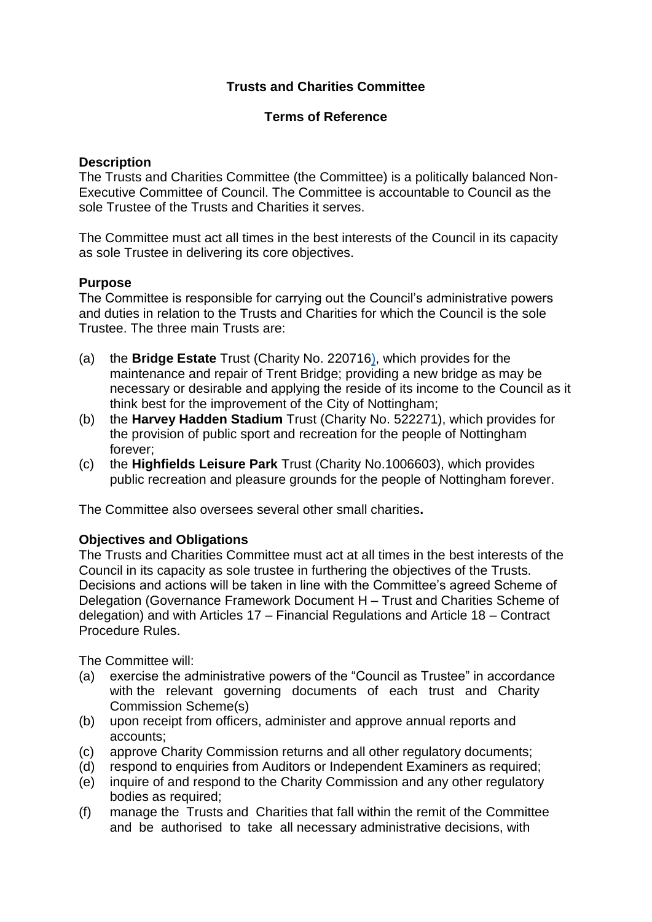# **Trusts and Charities Committee**

## **Terms of Reference**

### **Description**

The Trusts and Charities Committee (the Committee) is a politically balanced Non-Executive Committee of Council. The Committee is accountable to Council as the sole Trustee of the Trusts and Charities it serves.

The Committee must act all times in the best interests of the Council in its capacity as sole Trustee in delivering its core objectives.

### **Purpose**

The Committee is responsible for carrying out the Council's administrative powers and duties in relation to the Trusts and Charities for which the Council is the sole Trustee. The three main Trusts are:

- (a) the **Bridge Estate** Trust (Charity No. 220716), which provides for the maintenance and repair of Trent Bridge; providing a new bridge as may be necessary or desirable and applying the reside of its income to the Council as it think best for the improvement of the City of Nottingham;
- (b) the **Harvey Hadden Stadium** Trust (Charity No. 522271), which provides for the provision of public sport and recreation for the people of Nottingham forever;
- (c) the **Highfields Leisure Park** Trust (Charity No.1006603), which provides public recreation and pleasure grounds for the people of Nottingham forever.

The Committee also oversees several other small charities**.**

#### **Objectives and Obligations**

The Trusts and Charities Committee must act at all times in the best interests of the Council in its capacity as sole trustee in furthering the objectives of the Trusts. Decisions and actions will be taken in line with the Committee's agreed Scheme of Delegation (Governance Framework Document H – Trust and Charities Scheme of delegation) and with Articles 17 – Financial Regulations and Article 18 – Contract Procedure Rules.

The Committee will:

- (a) exercise the administrative powers of the "Council as Trustee" in accordance with the relevant governing documents of each trust and Charity Commission Scheme(s)
- (b) upon receipt from officers, administer and approve annual reports and accounts;
- (c) approve Charity Commission returns and all other regulatory documents;
- (d) respond to enquiries from Auditors or Independent Examiners as required;
- (e) inquire of and respond to the Charity Commission and any other regulatory bodies as required;
- (f) manage the Trusts and Charities that fall within the remit of the Committee and be authorised to take all necessary administrative decisions, with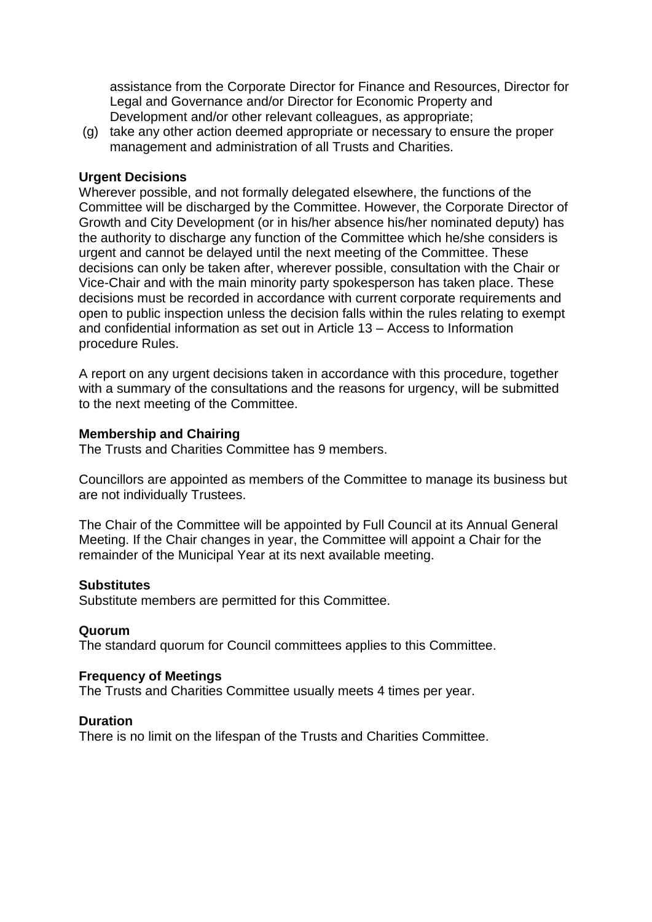assistance from the Corporate Director for Finance and Resources, Director for Legal and Governance and/or Director for Economic Property and Development and/or other relevant colleagues, as appropriate;

(g) take any other action deemed appropriate or necessary to ensure the proper management and administration of all Trusts and Charities.

### **Urgent Decisions**

Wherever possible, and not formally delegated elsewhere, the functions of the Committee will be discharged by the Committee. However, the Corporate Director of Growth and City Development (or in his/her absence his/her nominated deputy) has the authority to discharge any function of the Committee which he/she considers is urgent and cannot be delayed until the next meeting of the Committee. These decisions can only be taken after, wherever possible, consultation with the Chair or Vice-Chair and with the main minority party spokesperson has taken place. These decisions must be recorded in accordance with current corporate requirements and open to public inspection unless the decision falls within the rules relating to exempt and confidential information as set out in Article 13 – Access to Information procedure Rules.

A report on any urgent decisions taken in accordance with this procedure, together with a summary of the consultations and the reasons for urgency, will be submitted to the next meeting of the Committee.

#### **Membership and Chairing**

The Trusts and Charities Committee has 9 members.

Councillors are appointed as members of the Committee to manage its business but are not individually Trustees.

The Chair of the Committee will be appointed by Full Council at its Annual General Meeting. If the Chair changes in year, the Committee will appoint a Chair for the remainder of the Municipal Year at its next available meeting.

#### **Substitutes**

Substitute members are permitted for this Committee.

#### **Quorum**

The standard quorum for Council committees applies to this Committee.

#### **Frequency of Meetings**

The Trusts and Charities Committee usually meets 4 times per year.

#### **Duration**

There is no limit on the lifespan of the Trusts and Charities Committee.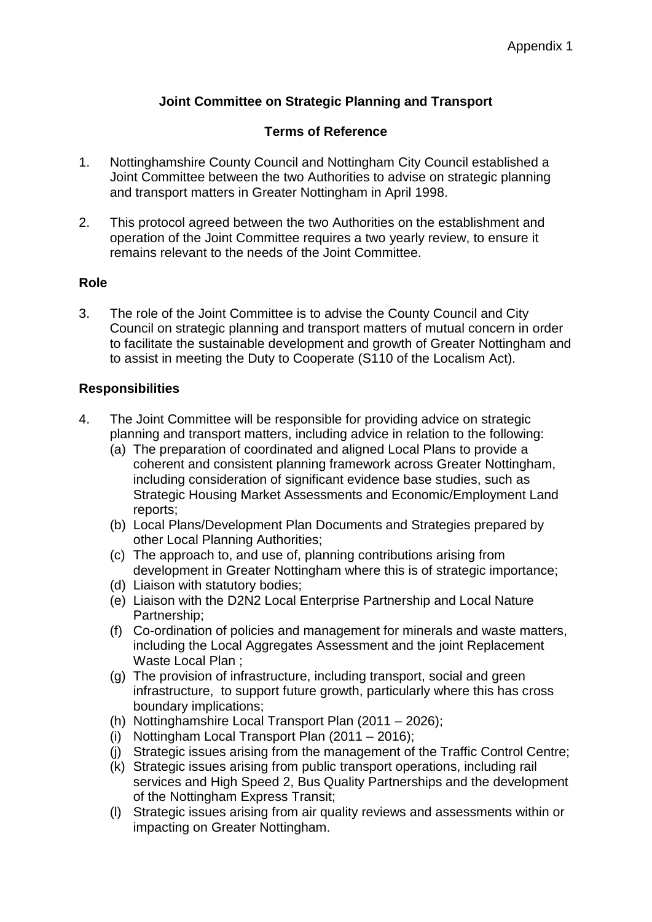# **Joint Committee on Strategic Planning and Transport**

# **Terms of Reference**

- 1. Nottinghamshire County Council and Nottingham City Council established a Joint Committee between the two Authorities to advise on strategic planning and transport matters in Greater Nottingham in April 1998.
- 2. This protocol agreed between the two Authorities on the establishment and operation of the Joint Committee requires a two yearly review, to ensure it remains relevant to the needs of the Joint Committee.

## **Role**

3. The role of the Joint Committee is to advise the County Council and City Council on strategic planning and transport matters of mutual concern in order to facilitate the sustainable development and growth of Greater Nottingham and to assist in meeting the Duty to Cooperate (S110 of the Localism Act).

## **Responsibilities**

- 4. The Joint Committee will be responsible for providing advice on strategic planning and transport matters, including advice in relation to the following:
	- (a) The preparation of coordinated and aligned Local Plans to provide a coherent and consistent planning framework across Greater Nottingham, including consideration of significant evidence base studies, such as Strategic Housing Market Assessments and Economic/Employment Land reports;
	- (b) Local Plans/Development Plan Documents and Strategies prepared by other Local Planning Authorities;
	- (c) The approach to, and use of, planning contributions arising from development in Greater Nottingham where this is of strategic importance;
	- (d) Liaison with statutory bodies;
	- (e) Liaison with the D2N2 Local Enterprise Partnership and Local Nature Partnership;
	- (f) Co-ordination of policies and management for minerals and waste matters, including the Local Aggregates Assessment and the joint Replacement Waste Local Plan ;
	- (g) The provision of infrastructure, including transport, social and green infrastructure, to support future growth, particularly where this has cross boundary implications;
	- (h) Nottinghamshire Local Transport Plan (2011 2026);
	- (i) Nottingham Local Transport Plan (2011 2016);
	- (j) Strategic issues arising from the management of the Traffic Control Centre;
	- (k) Strategic issues arising from public transport operations, including rail services and High Speed 2, Bus Quality Partnerships and the development of the Nottingham Express Transit;
	- (l) Strategic issues arising from air quality reviews and assessments within or impacting on Greater Nottingham.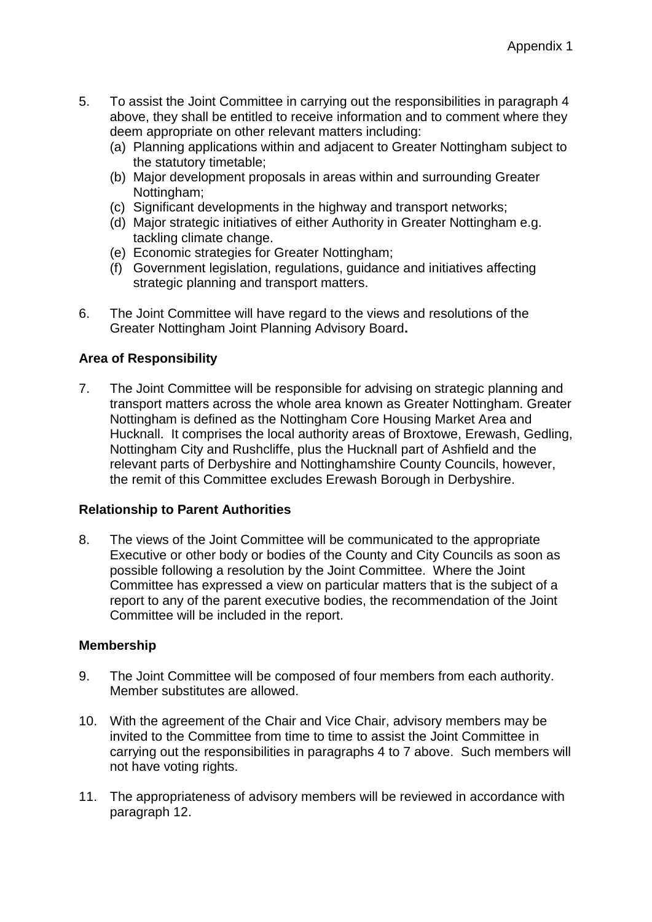- 5. To assist the Joint Committee in carrying out the responsibilities in paragraph 4 above, they shall be entitled to receive information and to comment where they deem appropriate on other relevant matters including:
	- (a) Planning applications within and adjacent to Greater Nottingham subject to the statutory timetable;
	- (b) Major development proposals in areas within and surrounding Greater Nottingham:
	- (c) Significant developments in the highway and transport networks;
	- (d) Major strategic initiatives of either Authority in Greater Nottingham e.g. tackling climate change.
	- (e) Economic strategies for Greater Nottingham;
	- (f) Government legislation, regulations, guidance and initiatives affecting strategic planning and transport matters.
- 6. The Joint Committee will have regard to the views and resolutions of the Greater Nottingham Joint Planning Advisory Board**.**

## **Area of Responsibility**

7. The Joint Committee will be responsible for advising on strategic planning and transport matters across the whole area known as Greater Nottingham. Greater Nottingham is defined as the Nottingham Core Housing Market Area and Hucknall. It comprises the local authority areas of Broxtowe, Erewash, Gedling, Nottingham City and Rushcliffe, plus the Hucknall part of Ashfield and the relevant parts of Derbyshire and Nottinghamshire County Councils, however, the remit of this Committee excludes Erewash Borough in Derbyshire.

## **Relationship to Parent Authorities**

8. The views of the Joint Committee will be communicated to the appropriate Executive or other body or bodies of the County and City Councils as soon as possible following a resolution by the Joint Committee. Where the Joint Committee has expressed a view on particular matters that is the subject of a report to any of the parent executive bodies, the recommendation of the Joint Committee will be included in the report.

## **Membership**

- 9. The Joint Committee will be composed of four members from each authority. Member substitutes are allowed.
- 10. With the agreement of the Chair and Vice Chair, advisory members may be invited to the Committee from time to time to assist the Joint Committee in carrying out the responsibilities in paragraphs 4 to 7 above. Such members will not have voting rights.
- 11. The appropriateness of advisory members will be reviewed in accordance with paragraph 12.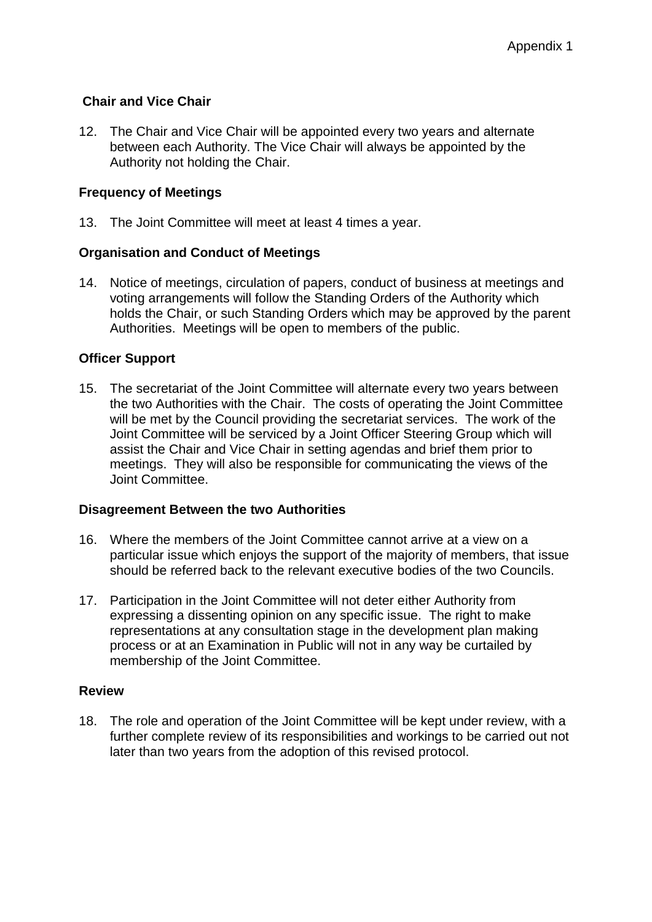## **Chair and Vice Chair**

12. The Chair and Vice Chair will be appointed every two years and alternate between each Authority. The Vice Chair will always be appointed by the Authority not holding the Chair.

## **Frequency of Meetings**

13. The Joint Committee will meet at least 4 times a year.

## **Organisation and Conduct of Meetings**

14. Notice of meetings, circulation of papers, conduct of business at meetings and voting arrangements will follow the Standing Orders of the Authority which holds the Chair, or such Standing Orders which may be approved by the parent Authorities. Meetings will be open to members of the public.

## **Officer Support**

15. The secretariat of the Joint Committee will alternate every two years between the two Authorities with the Chair. The costs of operating the Joint Committee will be met by the Council providing the secretariat services. The work of the Joint Committee will be serviced by a Joint Officer Steering Group which will assist the Chair and Vice Chair in setting agendas and brief them prior to meetings. They will also be responsible for communicating the views of the Joint Committee.

## **Disagreement Between the two Authorities**

- 16. Where the members of the Joint Committee cannot arrive at a view on a particular issue which enjoys the support of the majority of members, that issue should be referred back to the relevant executive bodies of the two Councils.
- 17. Participation in the Joint Committee will not deter either Authority from expressing a dissenting opinion on any specific issue. The right to make representations at any consultation stage in the development plan making process or at an Examination in Public will not in any way be curtailed by membership of the Joint Committee.

#### **Review**

18. The role and operation of the Joint Committee will be kept under review, with a further complete review of its responsibilities and workings to be carried out not later than two years from the adoption of this revised protocol.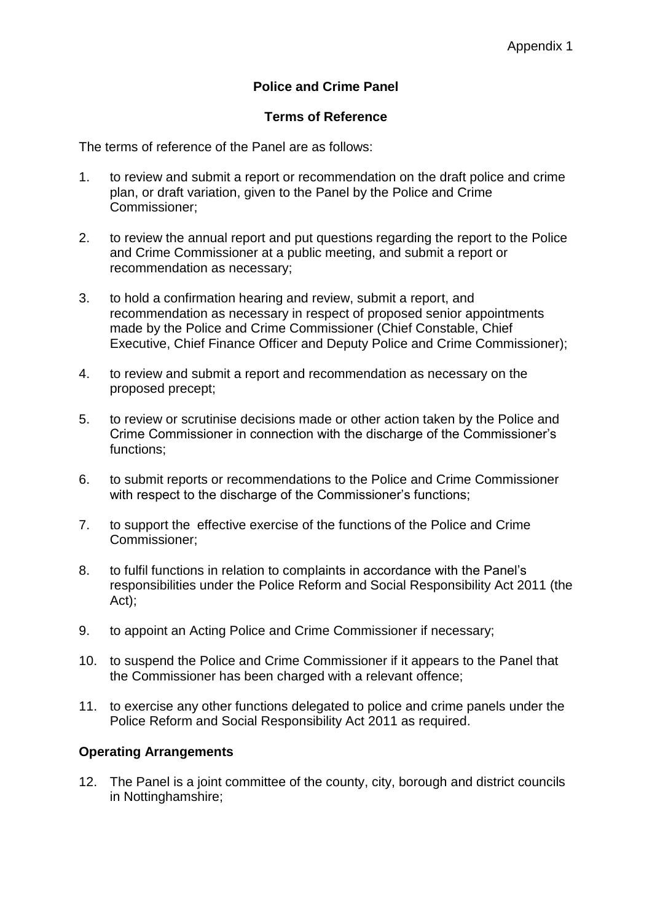# **Police and Crime Panel**

## **Terms of Reference**

The terms of reference of the Panel are as follows:

- 1. to review and submit a report or recommendation on the draft police and crime plan, or draft variation, given to the Panel by the Police and Crime Commissioner;
- 2. to review the annual report and put questions regarding the report to the Police and Crime Commissioner at a public meeting, and submit a report or recommendation as necessary;
- 3. to hold a confirmation hearing and review, submit a report, and recommendation as necessary in respect of proposed senior appointments made by the Police and Crime Commissioner (Chief Constable, Chief Executive, Chief Finance Officer and Deputy Police and Crime Commissioner);
- 4. to review and submit a report and recommendation as necessary on the proposed precept;
- 5. to review or scrutinise decisions made or other action taken by the Police and Crime Commissioner in connection with the discharge of the Commissioner's functions;
- 6. to submit reports or recommendations to the Police and Crime Commissioner with respect to the discharge of the Commissioner's functions;
- 7. to support the effective exercise of the functions of the Police and Crime Commissioner;
- 8. to fulfil functions in relation to complaints in accordance with the Panel's responsibilities under the Police Reform and Social Responsibility Act 2011 (the Act);
- 9. to appoint an Acting Police and Crime Commissioner if necessary;
- 10. to suspend the Police and Crime Commissioner if it appears to the Panel that the Commissioner has been charged with a relevant offence;
- 11. to exercise any other functions delegated to police and crime panels under the Police Reform and Social Responsibility Act 2011 as required.

## **Operating Arrangements**

12. The Panel is a joint committee of the county, city, borough and district councils in Nottinghamshire;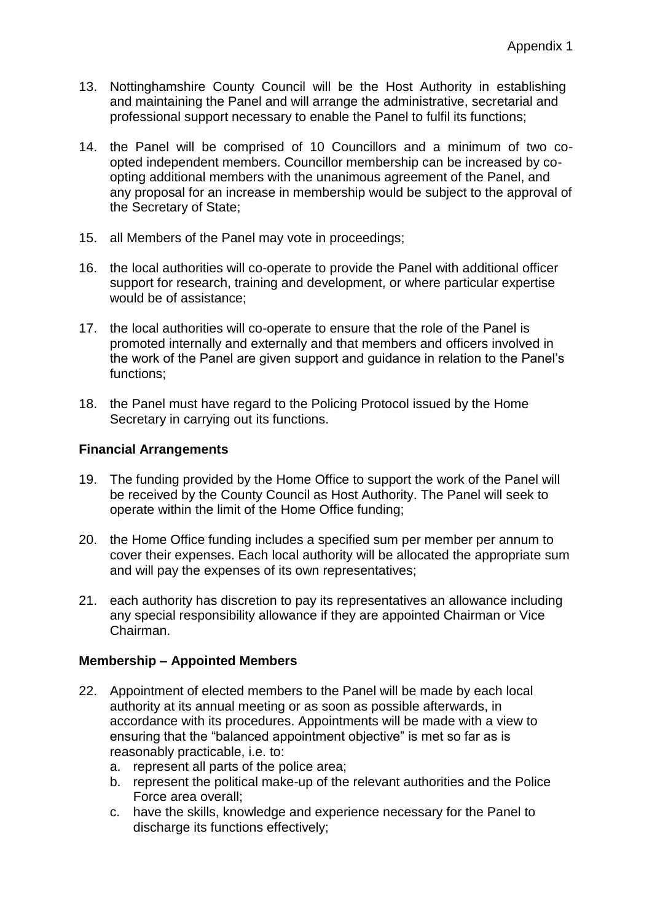- 13. Nottinghamshire County Council will be the Host Authority in establishing and maintaining the Panel and will arrange the administrative, secretarial and professional support necessary to enable the Panel to fulfil its functions;
- 14. the Panel will be comprised of 10 Councillors and a minimum of two coopted independent members. Councillor membership can be increased by coopting additional members with the unanimous agreement of the Panel, and any proposal for an increase in membership would be subject to the approval of the Secretary of State;
- 15. all Members of the Panel may vote in proceedings;
- 16. the local authorities will co-operate to provide the Panel with additional officer support for research, training and development, or where particular expertise would be of assistance;
- 17. the local authorities will co-operate to ensure that the role of the Panel is promoted internally and externally and that members and officers involved in the work of the Panel are given support and guidance in relation to the Panel's functions;
- 18. the Panel must have regard to the Policing Protocol issued by the Home Secretary in carrying out its functions.

## **Financial Arrangements**

- 19. The funding provided by the Home Office to support the work of the Panel will be received by the County Council as Host Authority. The Panel will seek to operate within the limit of the Home Office funding;
- 20. the Home Office funding includes a specified sum per member per annum to cover their expenses. Each local authority will be allocated the appropriate sum and will pay the expenses of its own representatives;
- 21. each authority has discretion to pay its representatives an allowance including any special responsibility allowance if they are appointed Chairman or Vice Chairman.

## **Membership – Appointed Members**

- 22. Appointment of elected members to the Panel will be made by each local authority at its annual meeting or as soon as possible afterwards, in accordance with its procedures. Appointments will be made with a view to ensuring that the "balanced appointment objective" is met so far as is reasonably practicable, i.e. to:
	- a. represent all parts of the police area;
	- b. represent the political make-up of the relevant authorities and the Police Force area overall;
	- c. have the skills, knowledge and experience necessary for the Panel to discharge its functions effectively;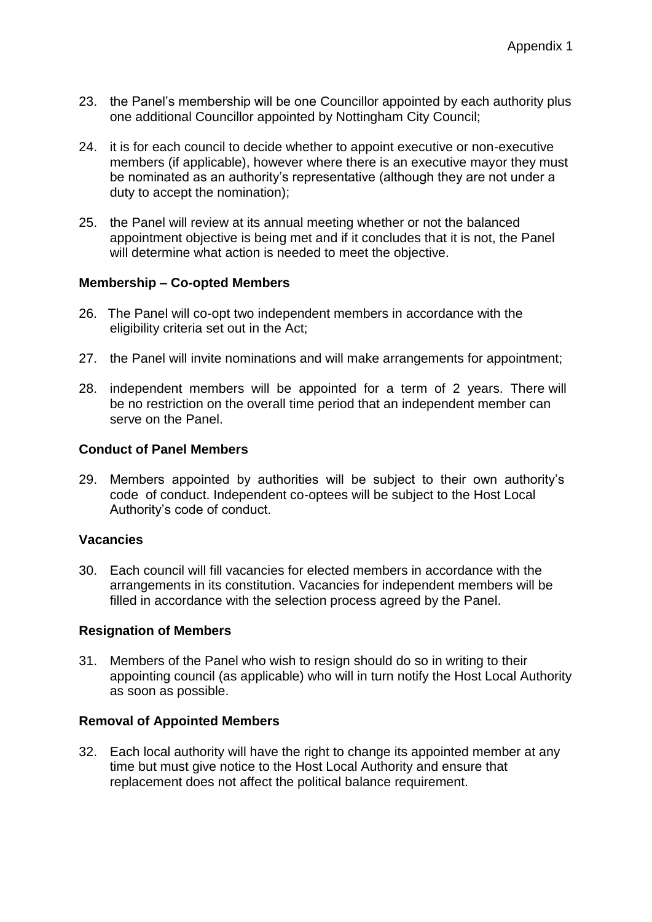- 23. the Panel's membership will be one Councillor appointed by each authority plus one additional Councillor appointed by Nottingham City Council;
- 24. it is for each council to decide whether to appoint executive or non-executive members (if applicable), however where there is an executive mayor they must be nominated as an authority's representative (although they are not under a duty to accept the nomination);
- 25. the Panel will review at its annual meeting whether or not the balanced appointment objective is being met and if it concludes that it is not, the Panel will determine what action is needed to meet the objective.

## **Membership – Co-opted Members**

- 26. The Panel will co-opt two independent members in accordance with the eligibility criteria set out in the Act;
- 27. the Panel will invite nominations and will make arrangements for appointment;
- 28. independent members will be appointed for a term of 2 years. There will be no restriction on the overall time period that an independent member can serve on the Panel.

## **Conduct of Panel Members**

29. Members appointed by authorities will be subject to their own authority's code of conduct. Independent co-optees will be subject to the Host Local Authority's code of conduct.

## **Vacancies**

30. Each council will fill vacancies for elected members in accordance with the arrangements in its constitution. Vacancies for independent members will be filled in accordance with the selection process agreed by the Panel.

## **Resignation of Members**

31. Members of the Panel who wish to resign should do so in writing to their appointing council (as applicable) who will in turn notify the Host Local Authority as soon as possible.

## **Removal of Appointed Members**

32. Each local authority will have the right to change its appointed member at any time but must give notice to the Host Local Authority and ensure that replacement does not affect the political balance requirement.